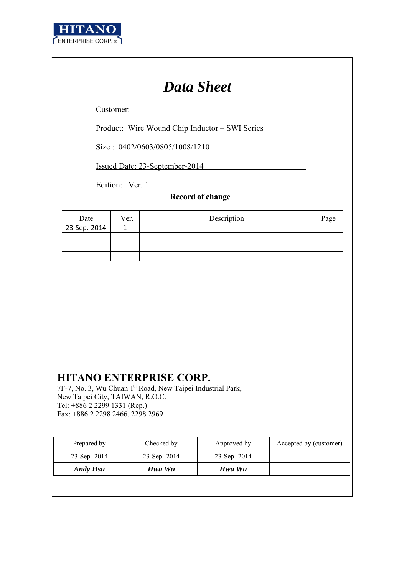

# *Data Sheet*

Customer:

Product: Wire Wound Chip Inductor – SWI Series

Size : 0402/0603/0805/1008/1210

Issued Date: 23-September-2014

Edition: Ver. 1

## **Record of change**

| Date         | Ver. | Description | Page |
|--------------|------|-------------|------|
| 23-Sep.-2014 |      |             |      |
|              |      |             |      |
|              |      |             |      |
|              |      |             |      |

## **HITANO ENTERPRISE CORP.**

7F-7, No. 3, Wu Chuan 1<sup>st</sup> Road, New Taipei Industrial Park, New Taipei City, TAIWAN, R.O.C. Tel: +886 2 2299 1331 (Rep.) Fax: +886 2 2298 2466, 2298 2969

| Prepared by     | Checked by   | Approved by     | Accepted by (customer) |
|-----------------|--------------|-----------------|------------------------|
| $23$ -Sep.-2014 | 23-Sep.-2014 | $23$ -Sep.-2014 |                        |
| Andy Hsu        | Hwa Wu       | Hwa Wu          |                        |
|                 |              |                 |                        |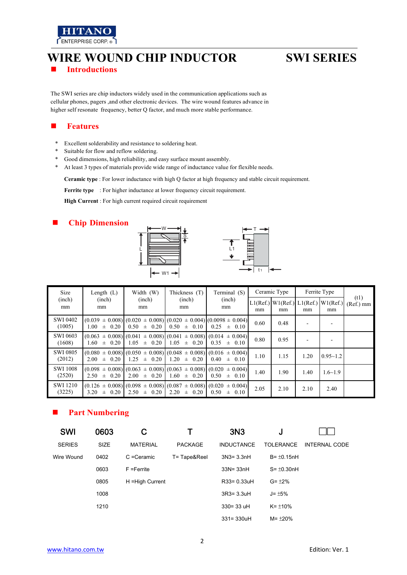

## **WIRE WOUND CHIP INDUCTOR SWI SERIES Introductions**

The SWI series are chip inductors widely used in the communication applications such as cellular phones, pagers ,and other electronic devices. The wire wound features advance in higher self resonate frequency, better Q factor, and much more stable performance.

### **Features**

- \* Excellent solderability and resistance to soldering heat.<br>\* Suitable for flow and reflow soldering.
- Suitable for flow and reflow soldering.
- \* Good dimensions, high reliability, and easy surface mount assembly.
- \* At least 3 types of materials provide wide range of inductance value for flexible needs.

**Ceramic type** : For lower inductance with high Q factor at high frequency and stable circuit requirement.

**Ferrite type** : For higher inductance at lower frequency circuit requirement.

**High Current** : For high current required circuit requirement

### **Chip Dimension**



| Size                      | Length $(L)$       | Width (W)          | Thickness (T)      | Terminal (S)                                                                                           | Ceramic Type |                                             |      | Ferrite Type   |                   |
|---------------------------|--------------------|--------------------|--------------------|--------------------------------------------------------------------------------------------------------|--------------|---------------------------------------------|------|----------------|-------------------|
| (inch)<br>mm              | (inch)<br>mm       | (inch)<br>mm       | (inch)<br>mm       | (inch)<br>mm                                                                                           | mm           | $L1(Ref.)$ W1(Ref.) L1(Ref.) W1(Ref.)<br>mm | mm   | mm             | (t1)<br>(Ref.) mm |
| <b>SWI 0402</b><br>(1005) | $1.00 \pm 0.20$    | $0.50 \pm 0.20$    | $0.50 \pm 0.10$    | $(0.039 \pm 0.008)$ $(0.020 \pm 0.008)$ $(0.020 \pm 0.004)$ $(0.0098 \pm 0.004)$<br>0.25<br>$\pm$ 0.10 | 0.60         | 0.48                                        |      |                |                   |
| <b>SWI 0603</b><br>(1608) | $\pm$ 0.20<br>1.60 | 1.05<br>$\pm$ 0.20 | 1.05<br>$\pm$ 0.20 | $(0.063 \pm 0.008)$ $(0.041 \pm 0.008)$ $(0.041 \pm 0.008)$ $(0.014 \pm 0.004)$<br>0.35<br>$\pm$ 0.10  | 0.80         | 0.95                                        |      |                |                   |
| <b>SWI 0805</b><br>(2012) | $2.00 \pm 0.20$    | $1.25 \pm 0.20$    | $1.20 \pm 0.20$    | $(0.080 \pm 0.008)$ $(0.050 \pm 0.008)$ $(0.048 \pm 0.008)$ $(0.016 \pm 0.004)$<br>$0.40 \pm 0.10$     | 1.10         | 1.15                                        | 1.20 | $0.95 - 1.2$   |                   |
| <b>SWI 1008</b><br>(2520) | $\pm$ 0.20<br>2.50 | 2.00<br>$\pm$ 0.20 | $1.60 \pm 0.20$    | $(0.098 \pm 0.008)$ $(0.063 \pm 0.008)$ $(0.063 \pm 0.008)$ $(0.020 \pm 0.004)$<br>0.50<br>$\pm$ 0.10  | 1.40         | 1.90                                        | 1.40 | $1.6 \sim 1.9$ |                   |
| <b>SWI 1210</b><br>(3225) | 3.20<br>$\pm$ 0.20 | 2.50<br>$\pm$ 0.20 | 2.20<br>$\pm$ 0.20 | $(0.126 \pm 0.008)$ $(0.098 \pm 0.008)$ $(0.087 \pm 0.008)$ $(0.020 \pm 0.004)$<br>0.50<br>$\pm$ 0.10  | 2.05         | 2.10                                        | 2.10 | 2.40           |                   |

### **Part Numbering**

| <b>SWI</b>    | 0603 | C                |                | 3N <sub>3</sub>   | J                 |                      |
|---------------|------|------------------|----------------|-------------------|-------------------|----------------------|
| <b>SERIES</b> | SIZE | <b>MATERIAL</b>  | <b>PACKAGE</b> | <b>INDUCTANCE</b> | <b>TOLERANCE</b>  | <b>INTERNAL CODE</b> |
| Wire Wound    | 0402 | C = Ceramic      | T= Tape&Reel   | $3N3 = 3.3nH$     | $B = \pm 0.15$ nH |                      |
|               | 0603 | $F = Ferrite$    |                | $33N = 33nH$      | $S = \pm 0.30$ nH |                      |
|               | 0805 | H = High Current |                | R33= 0.33uH       | $G = \pm 2\%$     |                      |
|               | 1008 |                  |                | $3R3 = 3.3uH$     | $J = \pm 5\%$     |                      |
|               | 1210 |                  |                | $330 = 33$ uH     | $K = \pm 10\%$    |                      |
|               |      |                  |                | $331 = 330uH$     | $M = \pm 20\%$    |                      |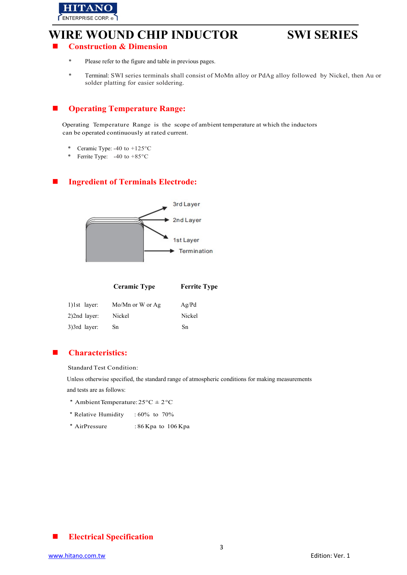

## **Construction & Dimension**

- \* Please refer to the figure and table in previous pages.
- \* Terminal: SWI series terminals shall consist of MoMn alloy or PdAg alloy followed by Nickel, then Au or solder platting for easier soldering.

### **Operating Temperature Range:**

Operating Temperature Range is the scope of ambient temperature at which the inductors can be operated continuously at rated current.

- \* Ceramic Type: -40 to +125°C
- \* Ferrite Type: -40 to +85°C

## **Ingredient of Terminals Electrode:**



|                 | <b>Ceramic Type</b> | <b>Ferrite Type</b> |
|-----------------|---------------------|---------------------|
| $1)$ 1st layer: | Mo/Mn or W or Ag    | Ag/Pd               |
| $2)$ 2nd layer: | Nickel              | Nickel              |
| 3)3rd layer:    | Sn                  | Sn                  |

### **Characteristics:**

Standard Test Condition:

Unless otherwise specified, the standard range of atmospheric conditions for making measurements and tests are as follows:

- \* Ambient Temperature:  $25^{\circ}C \pm 2^{\circ}C$
- \*Relative Humidity : 60% to 70%
- \*Air Pressure : 86 Kpa to 106 Kpa

## **Electrical Specification**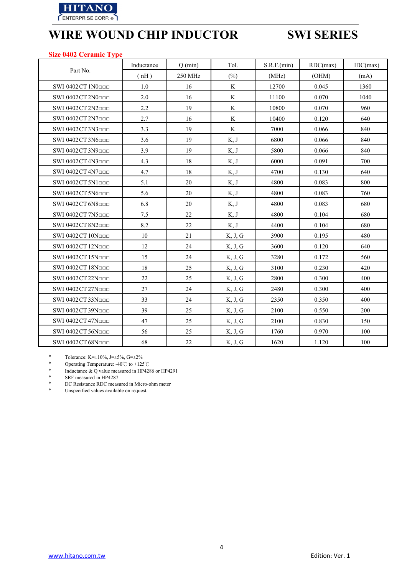

### **Size 0402 Ceramic Type**

|                                | Inductance | $Q$ (min) | Tol.        | S.R.F.(min) | RDC(max) | IDC(max) |
|--------------------------------|------------|-----------|-------------|-------------|----------|----------|
| Part No.                       | (nH)       | 250 MHz   | $(\%)$      | (MHz)       | (OHM)    | (mA)     |
| SWI 0402 CT 1N0000             | 1.0        | 16        | K           | 12700       | 0.045    | 1360     |
| SWI 0402 CT $2N0$              | 2.0        | 16        | K           | 11100       | 0.070    | 1040     |
| SWI 0402 CT 2N2000             | 2.2        | 19        | $\mathbf K$ | 10800       | 0.070    | 960      |
| SWI 0402 CT 2N7ppp             | 2.7        | 16        | K           | 10400       | 0.120    | 640      |
| SWI 0402 CT 3N3000             | 3.3        | 19        | K           | 7000        | 0.066    | 840      |
| SWI 0402 CT 3N6000             | 3.6        | 19        | K, J        | 6800        | 0.066    | 840      |
| SWI 0402 CT 3N9000             | 3.9        | 19        | K, J        | 5800        | 0.066    | 840      |
| SWI 0402 CT 4N3000             | 4.3        | 18        | K, J        | 6000        | 0.091    | 700      |
| SWI 0402 CT 4N7 <sub>ppp</sub> | 4.7        | 18        | K, J        | 4700        | 0.130    | 640      |
| SWI 0402 CT 5N1000             | 5.1        | 20        | K, J        | 4800        | 0.083    | 800      |
| SWI 0402 CT 5N6000             | 5.6        | 20        | K, J        | 4800        | 0.083    | 760      |
| SWI 0402 CT 6N8000             | 6.8        | 20        | K, J        | 4800        | 0.083    | 680      |
| SWI 0402 CT 7N5000             | 7.5        | 22        | K, J        | 4800        | 0.104    | 680      |
| SWI 0402 CT 8N2                | 8.2        | 22        | K, J        | 4400        | 0.104    | 680      |
| SWI 0402 CT 10Noon             | 10         | 21        | K, J, G     | 3900        | 0.195    | 480      |
| SWI 0402 CT 12N <sub>000</sub> | 12         | 24        | K, J, G     | 3600        | 0.120    | 640      |
| SWI 0402 CT 15Noon             | 15         | 24        | K, J, G     | 3280        | 0.172    | 560      |
| SWI 0402 CT 18Nood             | 18         | 25        | K, J, G     | 3100        | 0.230    | 420      |
| SWI 0402 CT 22Noon             | 22         | 25        | K, J, G     | 2800        | 0.300    | 400      |
| SWI 0402 CT 27Noon             | 27         | 24        | K, J, G     | 2480        | 0.300    | 400      |
| SWI 0402 CT 33Noon             | 33         | 24        | K, J, G     | 2350        | 0.350    | 400      |
| SWI 0402 CT 39Nood             | 39         | 25        | K, J, G     | 2100        | 0.550    | 200      |
| SWI 0402 CT 47Noon             | 47         | 25        | K, J, G     | 2100        | 0.830    | 150      |
| SWI 0402 CT 56Noon             | 56         | 25        | K, J, G     | 1760        | 0.970    | 100      |
| SWI 0402 CT 68Noop             | 68         | 22        | K, J, G     | 1620        | 1.120    | 100      |

\* Tolerance: K= $\pm 10\%$ , J= $\pm 5\%$ , G= $\pm 2\%$ <br>\* Operating Temperature: -40°C to +125

\* Operating Temperature: -40℃ to +125℃

\* Inductance & Q value measured in HP4286 or HP4291<br>
SRF measured in HP4287

\* SRF measured in HP4287<br>\* DC Resistance RDC measure

\* DC Resistance RDC measured in Micro-ohm meter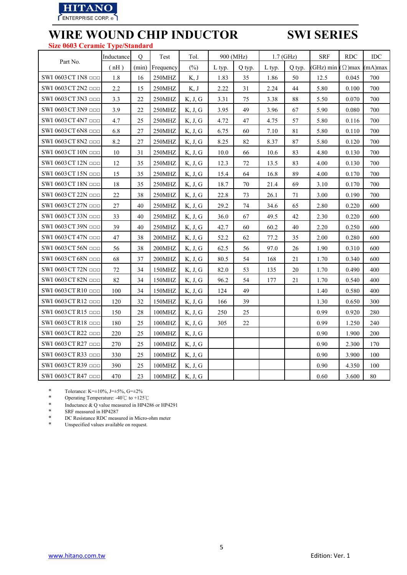

## **WIRE WOUND CHIP INDUCTOR SWI SERIES Size 0603 Ceramic Type/Standard**

|                            | Inductance | Q     | Test      | Tol.    | 900 (MHz) |        |        | $1.7$ (GHz) | <b>SRF</b> | <b>RDC</b>    | <b>IDC</b> |
|----------------------------|------------|-------|-----------|---------|-----------|--------|--------|-------------|------------|---------------|------------|
| Part No.                   | (nH)       | (min) | Frequency | $(\% )$ | L typ.    | Q typ. | L typ. | Q typ.      | GHz) min   | $\Omega$ )max | mA)max     |
| SWI 0603 CT 1N8 <b>DDD</b> | 1.8        | 16    | 250MHZ    | K, J    | 1.83      | 35     | 1.86   | 50          | 12.5       | 0.045         | 700        |
| SWI 0603 CT 2N2            | 2.2        | 15    | 250MHZ    | K, J    | 2.22      | 31     | 2.24   | 44          | 5.80       | 0.100         | 700        |
| SWI 0603 CT 3N3 ppp        | 3.3        | 22    | 250MHZ    | K, J, G | 3.31      | 75     | 3.38   | 88          | 5.50       | 0.070         | 700        |
| SWI 0603 CT 3N9 □□□        | 3.9        | 22    | 250MHZ    | K, J, G | 3.95      | 49     | 3.96   | 67          | 5.90       | 0.080         | 700        |
| SWI 0603 CT 4N7            | 4.7        | 25    | 250MHZ    | K, J, G | 4.72      | 47     | 4.75   | 57          | 5.80       | 0.116         | 700        |
| SWI 0603 CT 6N8 □□□        | 6.8        | 27    | 250MHZ    | K, J, G | 6.75      | 60     | 7.10   | 81          | 5.80       | 0.110         | 700        |
| SWI 0603 CT 8N2            | 8.2        | 27    | 250MHZ    | K, J, G | 8.25      | 82     | 8.37   | 87          | 5.80       | 0.120         | 700        |
| SWI 0603 CT 10N OOD        | 10         | 31    | 250MHZ    | K, J, G | 10.0      | 66     | 10.6   | 83          | 4.80       | 0.130         | 700        |
| SWI 0603 CT 12N □□□        | 12         | 35    | 250MHZ    | K, J, G | 12.3      | 72     | 13.5   | 83          | 4.00       | 0.130         | 700        |
| SWI 0603 CT 15N □□□        | 15         | 35    | 250MHZ    | K, J, G | 15.4      | 64     | 16.8   | 89          | 4.00       | 0.170         | 700        |
| SWI 0603 CT 18N OOD        | 18         | 35    | 250MHZ    | K, J, G | 18.7      | $70\,$ | 21.4   | 69          | 3.10       | 0.170         | 700        |
| SWI 0603 CT 22N OOD        | 22         | 38    | 250MHZ    | K, J, G | 22.8      | 73     | 26.1   | 71          | 3.00       | 0.190         | 700        |
| SWI 0603 CT 27N OOD        | 27         | 40    | 250MHZ    | K, J, G | 29.2      | 74     | 34.6   | 65          | 2.80       | 0.220         | 600        |
| SWI 0603 CT 33N □□□        | 33         | 40    | 250MHZ    | K, J, G | 36.0      | 67     | 49.5   | 42          | 2.30       | 0.220         | 600        |
| SWI 0603 CT 39N OOD        | 39         | 40    | 250MHZ    | K, J, G | 42.7      | 60     | 60.2   | 40          | 2.20       | 0.250         | 600        |
| SWI 0603 CT 47N □□□        | 47         | 38    | 200MHZ    | K, J, G | 52.2      | 62     | 77.2   | 35          | 2.00       | 0.280         | 600        |
| SWI 0603 CT 56N OOD        | 56         | 38    | 200MHZ    | K, J, G | 62.5      | 56     | 97.0   | 26          | 1.90       | 0.310         | 600        |
| SWI 0603 CT 68N □□□        | 68         | 37    | 200MHZ    | K, J, G | 80.5      | 54     | 168    | 21          | 1.70       | 0.340         | 600        |
| SWI 0603 CT 72N OOD        | 72         | 34    | 150MHZ    | K, J, G | 82.0      | 53     | 135    | 20          | 1.70       | 0.490         | 400        |
| SWI 0603 CT 82N OOD        | 82         | 34    | 150MHZ    | K, J, G | 96.2      | 54     | 177    | 21          | 1.70       | 0.540         | 400        |
| SWI 0603 CT R10 ppp        | 100        | 34    | 150MHZ    | K, J, G | 124       | 49     |        |             | 1.40       | 0.580         | 400        |
| SWI 0603 CT R12 □□□        | 120        | 32    | 150MHZ    | K, J, G | 166       | 39     |        |             | 1.30       | 0.650         | 300        |
| SWI 0603 CT R15            | 150        | 28    | 100MHZ    | K, J, G | 250       | 25     |        |             | 0.99       | 0.920         | 280        |
| SWI 0603 CT R18 ppp        | 180        | 25    | 100MHZ    | K, J, G | 305       | 22     |        |             | 0.99       | 1.250         | 240        |
| SWI 0603 CT R22 □□□        | 220        | 25    | 100MHZ    | K, J, G |           |        |        |             | 0.90       | 1.900         | 200        |
| SWI 0603 CT R27 □□□        | 270        | 25    | 100MHZ    | K, J, G |           |        |        |             | 0.90       | 2.300         | 170        |
| SWI 0603 CT R33 OOD        | 330        | 25    | 100MHZ    | K, J, G |           |        |        |             | 0.90       | 3.900         | 100        |
| SWI 0603 CT R39            | 390        | 25    | 100MHZ    | K, J, G |           |        |        |             | 0.90       | 4.350         | 100        |
| SWI 0603 CT R47 □□□        | 470        | 23    | 100MHZ    | K, J, G |           |        |        |             | 0.60       | 3.600         | 80         |

\* Tolerance: K= $\pm 10\%$ , J= $\pm 5\%$ , G= $\pm 2\%$ <br>\* Operating Temperature: -40°C to +125

\* Operating Temperature: -40℃ to +125℃

\* Inductance  $& Q$  value measured in HP4286 or HP4291<br>  $&$  SRE measured in HP4287

\* SRF measured in HP4287<br>\* DC Resistance RDC measure

\* DC Resistance RDC measured in Micro-ohm meter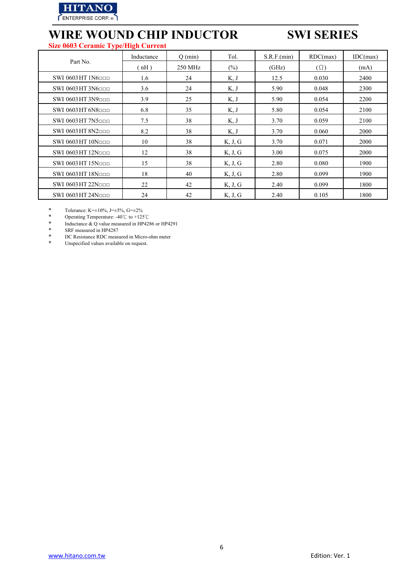

## **WIRE WOUND CHIP INDUCTOR SWI SERIES Size 0603 Ceramic Type/High Current**

|                                | Inductance | $Q$ (min) | Tol.    | S.R.F.(min) | RDC(max)   | IDC(max) |
|--------------------------------|------------|-----------|---------|-------------|------------|----------|
| Part No.                       | (nH)       | 250 MHz   | $(\%)$  | (GHz)       | $(\Omega)$ | (mA)     |
| SWI 0603 HT 1N6 <sub>000</sub> | 1.6        | 24        | K, J    | 12.5        | 0.030      | 2400     |
| SWI $0603$ HT $3N6$            | 3.6        | 24        | K, J    | 5.90        | 0.048      | 2300     |
| SWI 0603 HT 3N9 <sub>000</sub> | 3.9        | 25        | K, J    | 5.90        | 0.054      | 2200     |
| SWI $0603$ HT $6N8$            | 6.8        | 35        | K, J    | 5.80        | 0.054      | 2100     |
| SWI 0603 HT 7N5ppp             | 7.5        | 38        | K, J    | 3.70        | 0.059      | 2100     |
| SWI 0603 HT 8N2 <sub>000</sub> | 8.2        | 38        | K, J    | 3.70        | 0.060      | 2000     |
| SWI $0603$ HT $10N$            | 10         | 38        | K, J, G | 3.70        | 0.071      | 2000     |
| SWI 0603 HT 12Noon             | 12         | 38        | K, J, G | 3.00        | 0.075      | 2000     |
| SWI 0603 HT 15Noon             | 15         | 38        | K, J, G | 2.80        | 0.080      | 1900     |
| SWI 0603 HT 18N <sub>DDD</sub> | 18         | 40        | K, J, G | 2.80        | 0.099      | 1900     |
| SWI 0603 HT 22Noon             | 22         | 42        | K, J, G | 2.40        | 0.099      | 1800     |
| SWI 0603 HT 24N <sub>DDD</sub> | 24         | 42        | K, J, G | 2.40        | 0.105      | 1800     |

\* Tolerance: K= $\pm 10\%$ , J= $\pm 5\%$ , G= $\pm 2\%$ <br>\* Operating Temperature:  $A0^\circ$ C to  $\pm 125$ 

\* Operating Temperature: -40℃ to +125℃

\* Inductance & Q value measured in HP4286 or HP4291<br>
\* SRF measured in HP4287

\* SRF measured in HP4287<br>\* DC Resistance RDC measure

\* DC Resistance RDC measured in Micro-ohm meter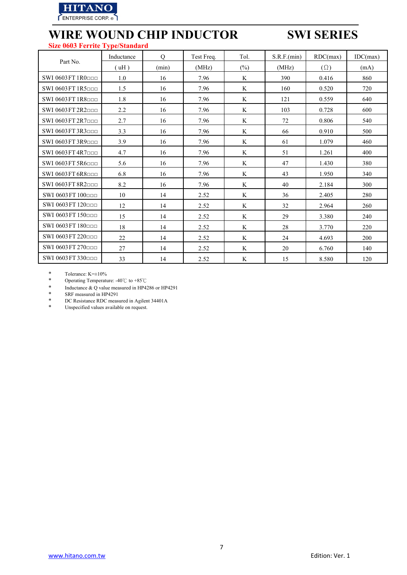

### **Size 0603 Ferrite Type/Standard**

|                    | Inductance | $\overline{O}$ | Test Freq. | Tol.   | S.R.F.(min) | RDC(max)   | IDC(max) |
|--------------------|------------|----------------|------------|--------|-------------|------------|----------|
| Part No.           | (uH)       | (min)          | (MHz)      | $(\%)$ | (MHz)       | $(\Omega)$ | (mA)     |
| SWI 0603 FT 1R0000 | 1.0        | 16             | 7.96       | K      | 390         | 0.416      | 860      |
| SWI 0603 FT 1R5000 | 1.5        | 16             | 7.96       | K      | 160         | 0.520      | 720      |
| SWI 0603 FT 1R8000 | 1.8        | 16             | 7.96       | K      | 121         | 0.559      | 640      |
| SWI 0603 FT 2R2000 | 2.2        | 16             | 7.96       | K      | 103         | 0.728      | 600      |
| SWI 0603 FT 2R7000 | 2.7        | 16             | 7.96       | K      | 72          | 0.806      | 540      |
| SWI 0603 FT 3R3000 | 3.3        | 16             | 7.96       | K      | 66          | 0.910      | 500      |
| SWI 0603 FT 3R9000 | 3.9        | 16             | 7.96       | K      | 61          | 1.079      | 460      |
| SWI 0603 FT 4R7000 | 4.7        | 16             | 7.96       | K      | 51          | 1.261      | 400      |
| SWI 0603 FT 5R6000 | 5.6        | 16             | 7.96       | K      | 47          | 1.430      | 380      |
| SWI 0603 FT 6R8000 | 6.8        | 16             | 7.96       | K      | 43          | 1.950      | 340      |
| SWI 0603 FT 8R2000 | 8.2        | 16             | 7.96       | K      | 40          | 2.184      | 300      |
| SWI 0603 FT 100ppp | 10         | 14             | 2.52       | K      | 36          | 2.405      | 280      |
| SWI 0603 FT 120ppp | 12         | 14             | 2.52       | K      | 32          | 2.964      | 260      |
| SWI 0603 FT 150000 | 15         | 14             | 2.52       | K      | 29          | 3.380      | 240      |
| SWI 0603 FT 180000 | 18         | 14             | 2.52       | K      | 28          | 3.770      | 220      |
| SWI 0603 FT 220ppp | 22         | 14             | 2.52       | K      | 24          | 4.693      | 200      |
| SWI 0603 FT 270ppp | 27         | 14             | 2.52       | K      | 20          | 6.760      | 140      |
| SWI 0603 FT 330ppp | 33         | 14             | 2.52       | K      | 15          | 8.580      | 120      |

\* Tolerance:  $K=\pm 10\%$ <br>\* Operating Temperature

\* Operating Temperature: -40℃ to +85℃

\* Inductance & Q value measured in HP4286 or HP4291<br>
SRF measured in HP4291

\* SRF measured in HP4291

\* DC Resistance RDC measured in Agilent 34401A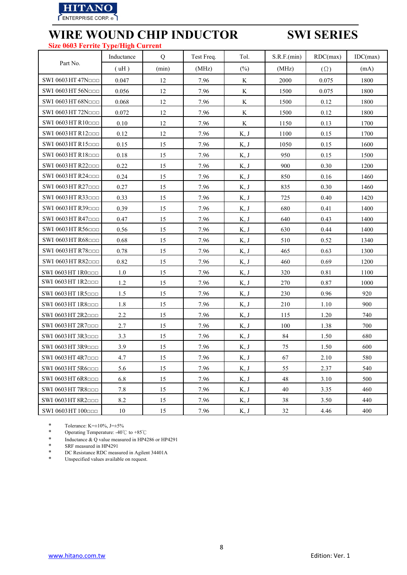

## **WIRE WOUND CHIP INDUCTOR SWI SERIES Size 0603 Ferrite Type/High Current**

|                                | Inductance | Q     | Test Freq. | Tol.    | S.R.F.(min) | RDC(max)   | IDC(max) |
|--------------------------------|------------|-------|------------|---------|-------------|------------|----------|
| Part No.                       | (uH)       | (min) | (MHz)      | $(\%)$  | (MHz)       | $(\Omega)$ | (mA)     |
| SWI 0603 HT 47Nood             | 0.047      | 12    | 7.96       | K       | 2000        | 0.075      | 1800     |
| SWI 0603 HT 56Nooo             | 0.056      | 12    | 7.96       | K       | 1500        | 0.075      | 1800     |
| SWI 0603 HT 68Noon             | 0.068      | 12    | 7.96       | $\rm K$ | 1500        | 0.12       | 1800     |
| SWI 0603 HT 72Nood             | 0.072      | 12    | 7.96       | K       | 1500        | 0.12       | 1800     |
| SWI 0603 HT R10000             | 0.10       | 12    | 7.96       | K       | 1150        | 0.13       | 1700     |
| SWI 0603 HT R12000             | 0.12       | 12    | 7.96       | K, J    | 1100        | 0.15       | 1700     |
| SWI 0603 HT R15000             | 0.15       | 15    | 7.96       | K, J    | 1050        | 0.15       | 1600     |
| SWI 0603 HT R18000             | 0.18       | 15    | 7.96       | K, J    | 950         | 0.15       | 1500     |
| SWI 0603 HT R22 <sub>000</sub> | 0.22       | 15    | 7.96       | K, J    | 900         | 0.30       | 1200     |
| SWI 0603 HT R24 <sub>000</sub> | 0.24       | 15    | 7.96       | K, J    | 850         | 0.16       | 1460     |
| SWI 0603 HT R27000             | 0.27       | 15    | 7.96       | K, J    | 835         | 0.30       | 1460     |
| SWI 0603 HT R33                | 0.33       | 15    | 7.96       | K, J    | 725         | 0.40       | 1420     |
| SWI 0603 HT R39 <sub>000</sub> | 0.39       | 15    | 7.96       | K, J    | 680         | 0.41       | 1400     |
| SWI 0603 HT R47000             | 0.47       | 15    | 7.96       | K, J    | 640         | 0.43       | 1400     |
| SWI 0603 HT R56 <sub>000</sub> | 0.56       | 15    | 7.96       | K, J    | 630         | 0.44       | 1400     |
| SWI 0603 HT R68000             | 0.68       | 15    | 7.96       | K, J    | 510         | 0.52       | 1340     |
| SWI 0603 HT R78000             | 0.78       | 15    | 7.96       | K, J    | 465         | 0.63       | 1300     |
| SWI 0603 HT R82000             | 0.82       | 15    | 7.96       | K, J    | 460         | 0.69       | 1200     |
| SWI 0603 HT 1R0000             | 1.0        | 15    | 7.96       | K, J    | 320         | 0.81       | 1100     |
| SWI 0603 HT 1R2□□□             | 1.2        | 15    | 7.96       | K, J    | 270         | 0.87       | 1000     |
| SWI 0603 HT 1R5000             | 1.5        | 15    | 7.96       | K, J    | 230         | 0.96       | 920      |
| SWI 0603 HT 1R8000             | 1.8        | 15    | 7.96       | K, J    | 210         | 1.10       | 900      |
| SWI 0603 HT 2R2000             | 2.2        | 15    | 7.96       | K, J    | 115         | 1.20       | 740      |
| SWI 0603 HT 2R7000             | 2.7        | 15    | 7.96       | K, J    | 100         | 1.38       | 700      |
| SWI 0603 HT 3R3000             | 3.3        | 15    | 7.96       | K, J    | 84          | 1.50       | 680      |
| SWI 0603 HT 3R9000             | 3.9        | 15    | 7.96       | K, J    | 75          | 1.50       | 600      |
| SWI 0603 HT 4R7000             | 4.7        | 15    | 7.96       | K, J    | 67          | 2.10       | 580      |
| SWI 0603 HT 5R6000             | 5.6        | 15    | 7.96       | K, J    | 55          | 2.37       | 540      |
| SWI 0603 HT 6R8000             | 6.8        | 15    | 7.96       | K, J    | 48          | 3.10       | 500      |
| SWI 0603 HT 7R8000             | 7.8        | 15    | 7.96       | K, J    | 40          | 3.35       | 460      |
| SWI 0603 HT 8R2000             | 8.2        | 15    | 7.96       | K, J    | 38          | 3.50       | 440      |
| SWI 0603 HT 100000             | 10         | 15    | 7.96       | K, J    | 32          | 4.46       | 400      |

\* Tolerance: K= $\pm 10\%$ , J= $\pm 5\%$ <br>\* Operating Temperature: -40 $\degree$ 

\* Operating Temperature: -40℃ to +85℃

\* Inductance & Q value measured in HP4286 or HP4291<br>
SRF measured in HP4291

\* SRF measured in HP4291<br>\* DC Resistance RDC measure

\* DC Resistance RDC measured in Agilent 34401A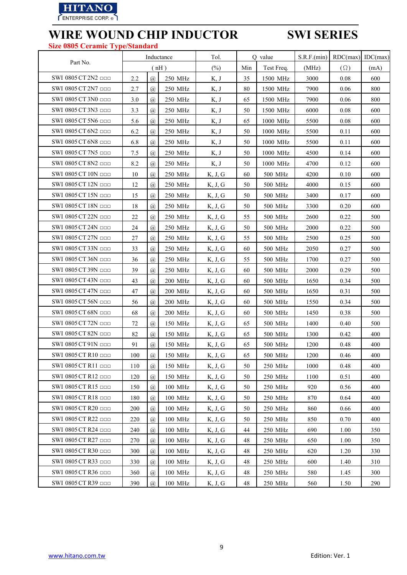

## **WIRE WOUND CHIP INDUCTOR SWI SERIES Size 0805 Ceramic Type/Standard**

| оне обоб Сегание ту            | JUDIANUAI U |                             |                |         |     |             |             |            |          |
|--------------------------------|-------------|-----------------------------|----------------|---------|-----|-------------|-------------|------------|----------|
|                                |             |                             | Inductance     | Tol.    |     | Q value     | S.R.F.(min) | RDC(max)   | IDC(max) |
| Part No.                       |             |                             | (nH)           | (%)     | Min | Test Freq.  | (MHz)       | $(\Omega)$ | (mA)     |
| SWI 0805 CT 2N2                | 2.2         | $\mathcal{D}_{a}$           | 250 MHz        | K, J    | 35  | 1500 MHz    | 3000        | 0.08       | 600      |
| SWI 0805 CT 2N7                | 2.7         | $\mathcal{D}_{\mathcal{A}}$ | 250 MHz        | K, J    | 80  | 1500 MHz    | 7900        | 0.06       | 800      |
| SWI 0805 CT 3N0 <b>DDD</b>     | 3.0         | $\overline{a}$              | 250 MHz        | K, J    | 65  | 1500 MHz    | 7900        | 0.06       | 800      |
| SWI 0805 CT 3N3                | 3.3         | $\mathcal{a}$               | 250 MHz        | K, J    | 50  | 1500 MHz    | 6000        | 0.08       | 600      |
| SWI 0805 CT 5N6 <b>ODD</b>     | 5.6         | (a)                         | 250 MHz        | K, J    | 65  | 1000 MHz    | 5500        | 0.08       | 600      |
| SWI 0805 CT 6N2                | 6.2         | $\varpi$                    | 250 MHz        | K, J    | 50  | 1000 MHz    | 5500        | 0.11       | 600      |
| SWI 0805 CT 6N8 <b>ODD</b>     | 6.8         | $\mathcal{a}$               | 250 MHz        | K, J    | 50  | 1000 MHz    | 5500        | 0.11       | 600      |
| SWI 0805 CT 7N5                | 7.5         | $\mathcal{D}_{\mathcal{A}}$ | 250 MHz        | K, J    | 50  | 1000 MHz    | 4500        | 0.14       | 600      |
| SWI 0805 CT 8N2                | 8.2         | $\mathcal{D}_{a}$           | 250 MHz        | K, J    | 50  | 1000 MHz    | 4700        | 0.12       | 600      |
| SWI 0805 CT 10N OOD            | 10          | (a)                         | 250 MHz        | K, J, G | 60  | 500 MHz     | 4200        | 0.10       | 600      |
| SWI 0805 CT 12N OOD            | 12          | $\mathcal{D}_{\mathcal{A}}$ | 250 MHz        | K, J, G | 50  | $500\,$ MHz | 4000        | 0.15       | 600      |
| SWI 0805 CT 15N OOD            | 15          | $\overline{a}$              | 250 MHz        | K, J, G | 50  | 500 MHz     | 3400        | 0.17       | 600      |
| SWI 0805 CT 18N                | 18          | $\mathcal{D}_{\mathcal{A}}$ | 250 MHz        | K, J, G | 50  | 500 MHz     | 3300        | 0.20       | 600      |
| SWI 0805 CT 22N OOD            | 22          | $\mathcal{D}_{a}$           | 250 MHz        | K, J, G | 55  | 500 MHz     | 2600        | 0.22       | 500      |
| SWI 0805 CT 24N OOD            | 24          | (a)                         | 250 MHz        | K, J, G | 50  | 500 MHz     | 2000        | 0.22       | 500      |
| SWI 0805 CT 27N OOD            | 27          | $\mathcal{D}_{\mathcal{A}}$ | 250 MHz        | K, J, G | 55  | $500\,$ MHz | 2500        | 0.25       | 500      |
| SWI 0805 CT 33N OOD            | 33          | $\mathcal{a}$               | 250 MHz        | K, J, G | 60  | 500 MHz     | 2050        | 0.27       | 500      |
| SWI 0805 CT 36N □□□            | 36          | $\mathcal{D}_{\alpha}$      | 250 MHz        | K, J, G | 55  | 500 MHz     | 1700        | 0.27       | 500      |
| SWI 0805 CT 39N OOD            | 39          | $\mathcal{D}_{a}$           | 250 MHz        | K, J, G | 60  | 500 MHz     | 2000        | 0.29       | 500      |
| SWI 0805 CT 43N OOD            | 43          | (a)                         | 200 MHz        | K, J, G | 60  | 500 MHz     | 1650        | 0.34       | 500      |
| SWI 0805 CT 47N OOD            | 47          | $\mathcal{D}_{a}$           | 200 MHz        | K, J, G | 60  | 500 MHz     | 1650        | 0.31       | 500      |
| SWI 0805 CT 56N OOD            | 56          | $\mathcal{D}_{\mathcal{A}}$ | <b>200 MHz</b> | K, J, G | 60  | 500 MHz     | 1550        | 0.34       | 500      |
| SWI 0805 CT 68N OOD            | 68          | $\overline{a}$              | 200 MHz        | K, J, G | 60  | 500 MHz     | 1450        | 0.38       | 500      |
| SWI 0805 CT 72N OOD            | 72          | $\varpi$                    | 150 MHz        | K, J, G | 65  | 500 MHz     | 1400        | 0.40       | 500      |
| SWI 0805 CT 82N                | 82          | (a)                         | 150 MHz        | K, J, G | 65  | 500 MHz     | 1300        | 0.42       | 400      |
| SWI 0805 CT 91N OOD            | 91          | $\mathcal{a}$               | 150 MHz        | K, J, G | 65  | 500 MHz     | 1200        | 0.48       | 400      |
| SWI 0805 CT R10 <sub>ppp</sub> | 100         | $\overline{a}$              | 150 MHz        | K, J, G | 65  | $500\,$ MHz | 1200        | 0.46       | 400      |
| SWI 0805 CT R11 □□□            | 110         | $\mathcal{D}_{\mathcal{A}}$ | 150 MHz        | K, J, G | 50  | 250 MHz     | 1000        | 0.48       | 400      |
| SWI 0805 CT R12                | 120         | $\varpi$                    | 150 MHz        | K, J, G | 50  | 250 MHz     | 1100        | 0.51       | 400      |
| SWI 0805 CT R15                | 150         | (a)                         | 100 MHz        | K, J, G | 50  | 250 MHz     | 920         | 0.56       | 400      |
| SWI 0805 CT R18 <b>DDD</b>     | 180         | $\mathcal{D}_{\mathcal{A}}$ | 100 MHz        | K, J, G | 50  | 250 MHz     | 870         | 0.64       | 400      |
| SWI 0805 CT R20 ppp            | 200         | $\mathcal{a}$               | 100 MHz        | K, J, G | 50  | 250 MHz     | 860         | 0.66       | 400      |
| SWI 0805 CT R22 □□□            | 220         | $\mathcal{D}_{\mathcal{A}}$ | 100 MHz        | K, J, G | 50  | 250 MHz     | 850         | 0.70       | 400      |
| SWI 0805 CT R24 ppp            | 240         | $\varpi$                    | 100 MHz        | K, J, G | 44  | 250 MHz     | 690         | 1.00       | 350      |
| SWI 0805 CT R27 000            | 270         | $\mathcal{D}_{\mathcal{A}}$ | 100 MHz        | K, J, G | 48  | 250 MHz     | 650         | 1.00       | 350      |
| SWI 0805 CT R30 ODD            | 300         | $\mathcal{D}_{\mathcal{A}}$ | 100 MHz        | K, J, G | 48  | 250 MHz     | 620         | 1.20       | 330      |
| SWI 0805 CT R33 OOD            | 330         | $\mathcal{D}_{\mathcal{A}}$ | 100 MHz        | K, J, G | 48  | 250 MHz     | 600         | 1.40       | 310      |
| SWI 0805 CT R36 □□□            | 360         | $\overline{a}$              | 100 MHz        | K, J, G | 48  | 250 MHz     | 580         | 1.45       | 300      |
| SWI 0805 CT R39 ODD            | 390         | $\mathcal{D}_{\mathcal{A}}$ | 100 MHz        | K, J, G | 48  | 250 MHz     | 560         | 1.50       | 290      |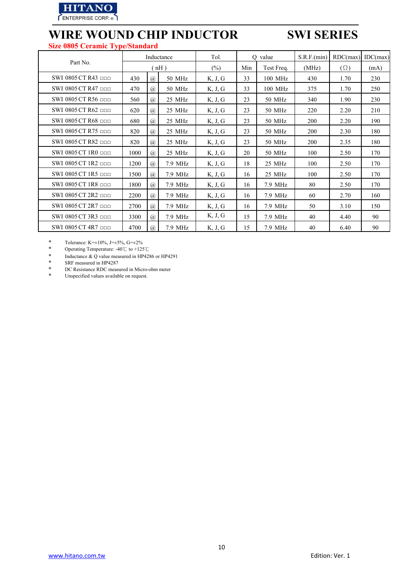

## **WIRE WOUND CHIP INDUCTOR SWI SERIES Size 0805 Ceramic Type/Standard**

|                                 |      |                             | Inductance | Tol.    | O value |            | S.R.F.(min) | RDC(max)   | IDC(max) |
|---------------------------------|------|-----------------------------|------------|---------|---------|------------|-------------|------------|----------|
| Part No.                        |      |                             | (nH)       | $(\%)$  | Min     | Test Freq. | (MHz)       | $(\Omega)$ | (mA)     |
| SWI 0805 CT R43                 | 430  | $\circleda$                 | 50 MHz     | K, J, G | 33      | 100 MHz    | 430         | 1.70       | 230      |
| SWI 0805 CT R47                 | 470  | $^{\textregistered}$        | 50 MHz     | K, J, G | 33      | 100 MHz    | 375         | 1.70       | 250      |
| SWI 0805 CT R56 ppp             | 560  | $\mathcal{D}_{\mathcal{A}}$ | 25 MHz     | K, J, G | 23      | 50 MHz     | 340         | 1.90       | 230      |
| SWI 0805 CT R62                 | 620  | $^{\textregistered}$        | 25 MHz     | K, J, G | 23      | 50 MHz     | 220         | 2.20       | 210      |
| SWI 0805 CT R68 ppp             | 680  | $\mathcal{D}_{\mathcal{A}}$ | 25 MHz     | K, J, G | 23      | 50 MHz     | 200         | 2.20       | 190      |
| SWI 0805 CT R75                 | 820  | $\mathcal{a}$               | 25 MHz     | K, J, G | 23      | 50 MHz     | <b>200</b>  | 2.30       | 180      |
| SWI 0805 CT R82                 | 820  | $\mathcal{D}_{\mathcal{A}}$ | 25 MHz     | K, J, G | 23      | 50 MHz     | 200         | 2.35       | 180      |
| $SWI$ 0805 CT 1R0 $\Box$ $\Box$ | 1000 | $\mathcal{D}_{\mathcal{A}}$ | 25 MHz     | K, J, G | 20      | 50 MHz     | 100         | 2.50       | 170      |
| SWI 0805 CT 1R2 <b>DDD</b>      | 1200 | $\mathcal{D}_{\mathcal{A}}$ | 7.9 MHz    | K, J, G | 18      | 25 MHz     | 100         | 2.50       | 170      |
| SWI 0805 CT 1R5 <b>DDD</b>      | 1500 | $\mathcal{D}_{\mathcal{A}}$ | 7.9 MHz    | K, J, G | 16      | 25 MHz     | 100         | 2.50       | 170      |
| SWI 0805 CT 1R8 $\Box$ $\Box$   | 1800 | $\mathcal{D}_{\mathcal{A}}$ | 7.9 MHz    | K, J, G | 16      | 7.9 MHz    | 80          | 2.50       | 170      |
| SWI 0805 CT 2R2                 | 2200 | $\mathcal{D}_{\mathcal{A}}$ | 7.9 MHz    | K, J, G | 16      | 7.9 MHz    | 60          | 2.70       | 160      |
| SWI 0805 CT 2R7                 | 2700 | $\mathcal{D}_{\alpha}$      | 7.9 MHz    | K, J, G | 16      | 7.9 MHz    | 50          | 3.10       | 150      |
| SWI 0805 CT 3R3                 | 3300 | $\mathcal{D}_{\mathcal{A}}$ | 7.9 MHz    | K, J, G | 15      | 7.9 MHz    | 40          | 4.40       | 90       |
| SWI 0805 CT 4R7 ppp             | 4700 | $\mathcal{D}_{\mathcal{A}}$ | 7.9 MHz    | K, J, G | 15      | 7.9 MHz    | 40          | 6.40       | 90       |

\* Tolerance: K= $\pm 10\%$ , J= $\pm 5\%$ , G= $\pm 2\%$ <br>\* Operating Temperature: -40°C to +125

\* Operating Temperature: -40℃ to +125℃

\* Inductance & Q value measured in HP4286 or HP4291<br>
\* SRF measured in HP4287

\* SRF measured in HP4287<br>\* DC Resistance RDC measure

\* DC Resistance RDC measured in Micro-ohm meter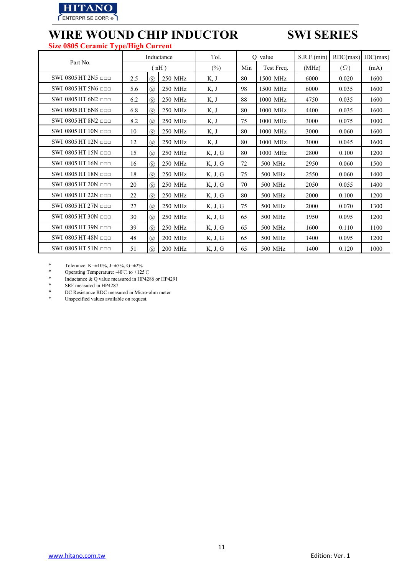

## **WIRE WOUND CHIP INDUCTOR SWI SERIES Size 0805 Ceramic Type/High Current**

|                                 |     |                             | Inductance | Tol.    |     | O value    | S.R.F.(min) | RDC(max)   | IDC(max) |
|---------------------------------|-----|-----------------------------|------------|---------|-----|------------|-------------|------------|----------|
| Part No.                        |     |                             | $nH$ )     | $(\%)$  | Min | Test Freq. | (MHz)       | $(\Omega)$ | (mA)     |
| SWI 0805 HT $2N5$ one           | 2.5 | $\mathcal{D}_{\mathcal{A}}$ | 250 MHz    | K, J    | 80  | 1500 MHz   | 6000        | 0.020      | 1600     |
| SWI 0805 HT 5N6 nnn             | 5.6 | $\mathcal{D}_{a}$           | 250 MHz    | K, J    | 98  | 1500 MHz   | 6000        | 0.035      | 1600     |
| SWI 0805 HT 6N2 nnn             | 6.2 | $\mathcal{D}_{a}$           | 250 MHz    | K, J    | 88  | 1000 MHz   | 4750        | 0.035      | 1600     |
| SWI 0805 HT 6N8 nnn             | 6.8 | $\mathcal{D}_{\mathcal{A}}$ | 250 MHz    | K, J    | 80  | 1000 MHz   | 4400        | 0.035      | 1600     |
| SWI 0805 HT 8N2 <b>ppp</b>      | 8.2 | $\mathcal{D}_{a}$           | 250 MHz    | K, J    | 75  | 1000 MHz   | 3000        | 0.075      | 1000     |
| SWI 0805 HT 10N nnn             | 10  | $\mathcal{D}_{a}$           | 250 MHz    | K, J    | 80  | 1000 MHz   | 3000        | 0.060      | 1600     |
| SWI 0805 HT 12N <sub>ppp</sub>  | 12  | $\mathcal{D}_{a}$           | 250 MHz    | K, J    | 80  | 1000 MHz   | 3000        | 0.045      | 1600     |
| SWI 0805 HT 15N nnn             | 15  | $\mathcal{D}_{a}$           | 250 MHz    | K, J, G | 80  | 1000 MHz   | 2800        | 0.100      | 1200     |
| SWI 0805 HT $16N$ $\Box$ $\Box$ | 16  | $\mathcal{a}$               | 250 MHz    | K, J, G | 72  | 500 MHz    | 2950        | 0.060      | 1500     |
| SWI 0805 HT 18N nnn             | 18  | $\mathcal{D}_{a}$           | 250 MHz    | K, J, G | 75  | 500 MHz    | 2550        | 0.060      | 1400     |
| SWI 0805 HT 20N <sub>ppp</sub>  | 20  | $\mathcal{D}_{a}$           | 250 MHz    | K, J, G | 70  | 500 MHz    | 2050        | 0.055      | 1400     |
| SWI 0805 HT 22N <sub>PP</sub>   | 22  | $\mathcal{D}_{a}$           | 250 MHz    | K, J, G | 80  | 500 MHz    | 2000        | 0.100      | 1200     |
| SWI 0805 HT 27N ppp             | 27  | $\mathcal{D}_{a}$           | 250 MHz    | K, J, G | 75  | 500 MHz    | 2000        | 0.070      | 1300     |
| SWI 0805 HT 30N <sub>ppp</sub>  | 30  | $\mathcal{D}_{\mathcal{A}}$ | 250 MHz    | K, J, G | 65  | 500 MHz    | 1950        | 0.095      | 1200     |
| SWI 0805 HT 39N ppp             | 39  | $\mathcal{D}_{a}$           | 250 MHz    | K, J, G | 65  | 500 MHz    | 1600        | 0.110      | 1100     |
| SWI 0805 HT 48N <sub>ppp</sub>  | 48  | $\mathcal{a}$               | 200 MHz    | K, J, G | 65  | 500 MHz    | 1400        | 0.095      | 1200     |
| SWI 0805 HT 51N <sub>000</sub>  | 51  | $\overline{a}$              | 200 MHz    | K, J, G | 65  | 500 MHz    | 1400        | 0.120      | 1000     |

\* Tolerance: K= $\pm 10\%$ , J= $\pm 5\%$ , G= $\pm 2\%$ <br>\* Operating Temperature: -40°C to +125

\* Operating Temperature: -40℃ to +125℃

\* Inductance  $& Q$  value measured in HP4286 or HP4291<br>  $&$  SRE measured in HP4287

\* SRF measured in HP4287<br>\* DC Resistance RDC measure

\* DC Resistance RDC measured in Micro-ohm meter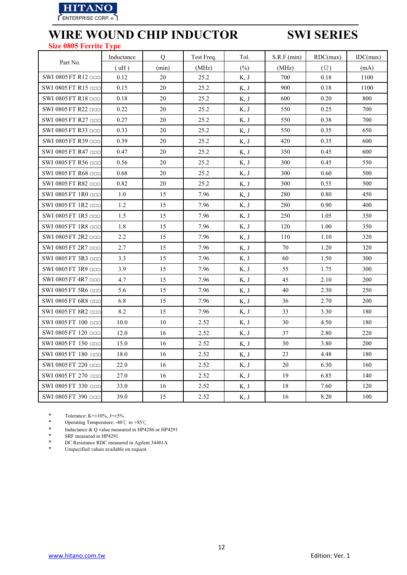

### **Size 0805 Ferrite Type**

|                               | Inductance | Q     | Test Freq. | Tol.   | S.R.F.(min) | RDC(max)   | IDC(max) |
|-------------------------------|------------|-------|------------|--------|-------------|------------|----------|
| Part No.                      | (uH)       | (min) | (MHz)      | $(\%)$ | (MHz)       | $(\Omega)$ | (mA)     |
| SWI 0805 FT R12               | 0.12       | 20    | 25.2       | K, J   | 700         | 0.18       | 1100     |
| SWI 0805 FT R15               | 0.15       | 20    | 25.2       | K, J   | 900         | 0.18       | 1100     |
| SWI 0805 FT R18 000           | 0.18       | 20    | 25.2       | K, J   | 600         | 0.20       | 800      |
| SWI 0805 FT R22               | 0.22       | 20    | 25.2       | K, J   | 550         | 0.25       | 700      |
| SWI 0805 FT R27 000           | 0.27       | 20    | 25.2       | K, J   | 550         | 0.38       | 700      |
| SWI 0805 FT R33               | 0.33       | 20    | 25.2       | K, J   | 550         | 0.35       | 650      |
| SWI 0805 FT R39 □□□           | 0.39       | 20    | 25.2       | K, J   | 420         | 0.35       | 600      |
| SWI 0805 FT R47 □□□           | 0.47       | 20    | 25.2       | K, J   | 350         | 0.45       | 600      |
| SWI 0805 FT R56 OOD           | 0.56       | 20    | 25.2       | K, J   | 300         | 0.45       | 550      |
| SWI 0805 FT R68 □□□           | 0.68       | 20    | 25.2       | K, J   | 300         | 0.60       | 500      |
| SWI 0805 FT R82               | 0.82       | 20    | 25.2       | K, J   | 300         | 0.55       | 500      |
| SWI 0805 FT $1R0$ one         | 1.0        | 15    | 7.96       | K, J   | 280         | 0.80       | 450      |
| SWI 0805 FT 1R2 □□□           | 1.2        | 15    | 7.96       | K, J   | 280         | 0.90       | 400      |
| SWI 0805 FT 1R5               | 1.5        | 15    | 7.96       | K, J   | 250         | 1.05       | 350      |
| SWI 0805 FT 1R8 <b>ODD</b>    | 1.8        | 15    | 7.96       | K, J   | 120         | 1.00       | 350      |
| SWI 0805 FT 2R2               | 2.2        | 15    | 7.96       | K, J   | 110         | 1.10       | 320      |
| SWI 0805 FT 2R7               | 2.7        | 15    | 7.96       | K, J   | 70          | 1.20       | 320      |
| SWI 0805 FT 3R3               | 3.3        | 15    | 7.96       | K, J   | 60          | 1.50       | 300      |
| SWI 0805 FT 3R9 □□□           | 3.9        | 15    | 7.96       | K, J   | 55          | 1.75       | 300      |
| SWI 0805 FT 4R7 000           | 4.7        | 15    | 7.96       | K, J   | 45          | 2.10       | 200      |
| SWI 0805 FT 5R6 $\Box$ $\Box$ | 5.6        | 15    | 7.96       | K, J   | 40          | 2.30       | 250      |
| SWI 0805 FT 6R8 ppp           | 6.8        | 15    | 7.96       | K, J   | 36          | 2.70       | 200      |
| SWI 0805 FT 8R2               | 8.2        | 15    | 7.96       | K, J   | 33          | 3.30       | 180      |
| SWI 0805 FT 100 000           | 10.0       | 10    | 2.52       | K, J   | 30          | 4.50       | 180      |
| SWI 0805 FT 120 000           | 12.0       | 16    | 2.52       | K, J   | 37          | 2.80       | 220      |
| SWI 0805 FT 150 □□□           | 15.0       | 16    | 2.52       | K, J   | 30          | 3.80       | 200      |
| SWI 0805 FT 180 000           | 18.0       | 16    | 2.52       | K, J   | 23          | 4.48       | 180      |
| SWI 0805 FT 220 ppp           | 22.0       | 16    | 2.52       | K, J   | 20          | 6.30       | 160      |
| SWI 0805 FT 270 000           | 27.0       | 16    | 2.52       | K, J   | 19          | 6.85       | 140      |
| SWI 0805 FT 330 000           | 33.0       | 16    | 2.52       | K, J   | 18          | 7.60       | 120      |
| SWI 0805 FT 390 000           | 39.0       | 15    | 2.52       | K, J   | 16          | 8.20       | 100      |

\* Tolerance: K= $\pm 10\%$ , J= $\pm 5\%$ <br>\* Operating Temperature: -40°

\* Operating Temperature: -40℃ to +85℃

\* Inductance & Q value measured in HP4286 or HP4291<br>
SRF measured in HP4291

\* SRF measured in HP4291

\* DC Resistance RDC measured in Agilent 34401A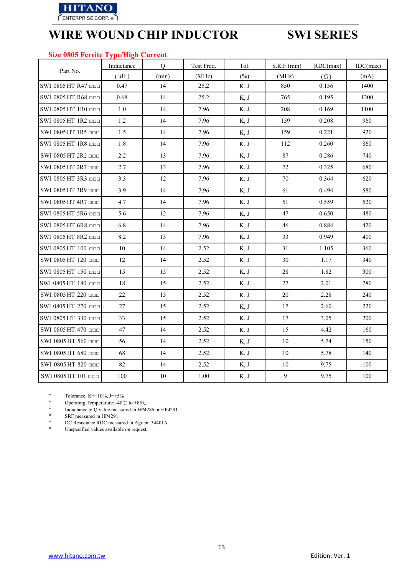

## **Size 0805 Ferrite Type/High Current**

|                                 | Inductance | $\overline{Q}$ | Test Freq. | Tol.   | S.R.F.(min) | RDC(max)   | IDC(max) |
|---------------------------------|------------|----------------|------------|--------|-------------|------------|----------|
| Part No.                        | (uH)       | (min)          | (MHz)      | $(\%)$ | (MHz)       | $(\Omega)$ | (mA)     |
| SWI 0805 HT R47                 | 0.47       | 14             | 25.2       | K, J   | 850         | 0.156      | 1400     |
| SWI 0805 HT R68 ppp             | 0.68       | 14             | 25.2       | K, J   | 765         | 0.195      | 1200     |
| SWI 0805 HT 1R0 000             | 1.0        | 14             | 7.96       | K, J   | 208         | 0.169      | 1100     |
| SWI 0805 HT 1R2 ppp             | 1.2        | 14             | 7.96       | K, J   | 159         | 0.208      | 960      |
| SWI 0805 HT 1R5 $\Box$ $\Box$   | 1.5        | 14             | 7.96       | K, J   | 159         | 0.221      | 920      |
| SWI 0805 HT 1R8 000             | 1.8        | 14             | 7.96       | K, J   | 112         | 0.260      | 860      |
| SWI 0805 HT $2R2$ ppp           | 2.2        | 13             | 7.96       | K, J   | 87          | 0.286      | 740      |
| SWI 0805 HT 2R7 000             | 2.7        | 13             | 7.96       | K, J   | 72          | 0.325      | 680      |
| SWI 0805 HT 3R3 ODD             | 3.3        | 12             | 7.96       | K, J   | 70          | 0.364      | 620      |
| SWI 0805 HT 3R9 000             | 3.9        | 14             | 7.96       | K, J   | 61          | 0.494      | 580      |
| SWI 0805 HT 4R7 □□□             | 4.7        | 14             | 7.96       | K, J   | 51          | 0.559      | 520      |
| SWI 0805 HT 5R6 000             | 5.6        | $12\,$         | 7.96       | K, J   | 47          | 0.650      | 480      |
| SWI 0805 HT 6R8 000             | 6.8        | 14             | 7.96       | K, J   | 46          | 0.884      | 420      |
| SWI 0805 HT 8R2                 | 8.2        | 13             | 7.96       | K, J   | 33          | 0.949      | 400      |
| SWI 0805 HT 100 000             | 10         | 14             | 2.52       | K, J   | 31          | 1.105      | 360      |
| SWI 0805 HT 120 000             | 12         | 14             | 2.52       | K, J   | 30          | 1.17       | 340      |
| SWI 0805 HT 150 000             | 15         | 15             | 2.52       | K, J   | 28          | 1.82       | 300      |
| SWI 0805 HT 180 000             | 18         | 15             | 2.52       | K, J   | 27          | 2.01       | 280      |
| SWI 0805 HT 220 ppp             | 22         | 15             | 2.52       | K, J   | 20          | 2.28       | 240      |
| SWI 0805 HT 270 □□□             | 27         | 15             | 2.52       | K, J   | 17          | 2.60       | 220      |
| SWI 0805 HT 330 □□□             | 33         | 15             | 2.52       | K, J   | 17          | 3.05       | 200      |
| SWI 0805 HT 470 000             | 47         | 14             | 2.52       | K, J   | 15          | 4.42       | 160      |
| SWI 0805 HT 560 $\Box$          | 56         | 14             | 2.52       | K, J   | 10          | 5.74       | 150      |
| SWI 0805 HT 680 ppp             | 68         | 14             | 2.52       | K, J   | 10          | 5.78       | 140      |
| SWI 0805 HT 820 000             | 82         | 14             | 2.52       | K, J   | $10\,$      | 9.75       | 100      |
| $SWI$ 0805 HT 101 $\Box$ $\Box$ | 100        | $10\,$         | 1.00       | K, J   | 9           | 9.75       | 100      |

\* Tolerance: K= $\pm 10\%$ , J= $\pm 5\%$ <br>\* Operating Temperature: -40°

\* Operating Temperature: -40℃ to +85℃

\* Inductance & Q value measured in HP4286 or HP4291

\* SRF measured in HP4291

\* DC Resistance RDC measured in Agilent 34401A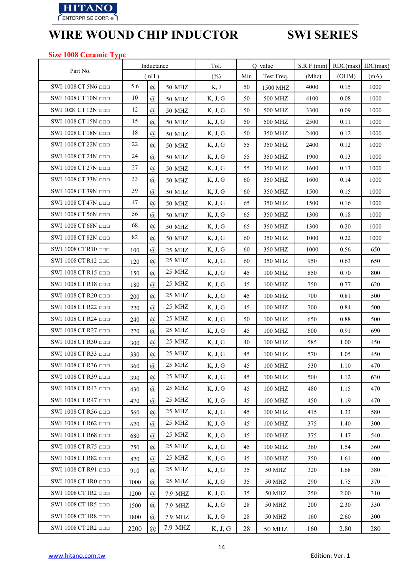

### **Size 1008 Ceramic Type**

|                            |      | Inductance                  |               | Tol.                                   |     | Q value             | S.R.F.(min) | $RDC(max)$ IDC(max) |      |
|----------------------------|------|-----------------------------|---------------|----------------------------------------|-----|---------------------|-------------|---------------------|------|
| Part No.                   |      | (nH)                        |               | $(\%)$                                 | Min | Test Freq.          | (Mhz)       | (OHM)               | (mA) |
| SWI 1008 CT 5N6 ppp        | 5.6  | $\overline{a}$              | <b>50 MHZ</b> | K, J                                   | 50  | 1500 MHZ            | 4000        | 0.15                | 1000 |
| SWI 1008 CT 10N ODD        | 10   | $\mathcal{D}_{\mathcal{A}}$ | <b>50 MHZ</b> | K, J, G                                | 50  | 500 MHZ             | 4100        | 0.08                | 1000 |
| SWI 1008 CT 12N OOD        | 12   | $\mathcal{D}_{\mathcal{A}}$ | <b>50 MHZ</b> | K, J, G                                | 50  | 500 MHZ             | 3300        | 0.09                | 1000 |
| SWI 1008 CT 15N ODD        | 15   | $\mathcal{a}$               | <b>50 MHZ</b> | K, J, G                                | 50  | 500 MHZ             | 2500        | 0.11                | 1000 |
| SWI 1008 CT 18N OOD        | 18   | $\mathcal{D}_{\mathcal{A}}$ | <b>50 MHZ</b> | K, J, G                                | 50  | 350 MHZ             | 2400        | 0.12                | 1000 |
| SWI 1008 CT 22N OOD        | 22   | $\circleda$                 | <b>50 MHZ</b> | K, J, G                                | 55  | 350 MHZ             | 2400        | 0.12                | 1000 |
| SWI 1008 CT 24N <b>DDD</b> | 24   | $\mathcal{a}$               | 50 MHZ        | K, J, G                                | 55  | 350 MHZ             | 1900        | 0.13                | 1000 |
| SWI 1008 CT 27N OOD        | 27   | $\mathcal{D}_{\mathcal{A}}$ | 50 MHZ        | K, J, G                                | 55  | 350 MHZ             | 1600        | 0.13                | 1000 |
| SWI 1008 CT 33N OOD        | 33   | $\mathcal{D}_{\mathcal{A}}$ | 50 MHZ        | K, J, G                                | 60  | 350 MHZ             | 1600        | 0.14                | 1000 |
| SWI 1008 CT 39N OOD        | 39   | $\overline{a}$              | 50 MHZ        | K, J, G                                | 60  | 350 MHZ             | 1500        | 0.15                | 1000 |
| SWI 1008 CT 47N ppp        | 47   | $\mathcal{a}$               | 50 MHZ        | K, J, G                                | 65  | 350 MHZ             | 1500        | 0.16                | 1000 |
| SWI 1008 CT 56N OOD        | 56   | $\mathcal{D}_{\mathcal{A}}$ | <b>50 MHZ</b> | K, J, G                                | 65  | 350 MHZ             | 1300        | 0.18                | 1000 |
| SWI 1008 CT 68N OOD        | 68   | $\overline{a}$              | <b>50 MHZ</b> | K, J, G                                | 65  | 350 MHZ             | 1300        | 0.20                | 1000 |
| SWI 1008 CT 82N OOD        | 82   | $\mathcal{D}_{\mathcal{A}}$ | <b>50 MHZ</b> | K, J, G                                | 60  | 350 MHZ             | 1000        | 0.22                | 1000 |
| SWI 1008 CT R10 □□□        | 100  | $\mathcal{D}_{\mathcal{A}}$ | 25 MHZ        | K, J, G                                | 60  | 350 MHZ             | 1000        | 0.56                | 650  |
| SWI 1008 CT R12            | 120  | $\overline{a}$              | 25 MHZ        | K, J, G                                | 60  | 350 MHZ             | 950         | 0.63                | 650  |
| SWI 1008 CT R15 000        | 150  | $\mathcal{a}$               | 25 MHZ        | K, J, G                                | 45  | 100 MHZ             | 850         | 0.70                | 800  |
| SWI 1008 CT R18 <b>DDD</b> | 180  | $\circleda$                 | 25 MHZ        | K, J, G                                | 45  | 100 MHZ             | 750         | 0.77                | 620  |
| SWI 1008 CT R20 <b>ODD</b> | 200  | $\mathcal{a}$               | 25 MHZ        | K, J, G                                | 45  | 100 MHZ             | 700         | 0.81                | 500  |
| SWI 1008 CT R22            | 220  | $\mathcal{a}$               | 25 MHZ        | K, J, G                                | 45  | 100 MHZ             | 700         | 0.84                | 500  |
| SWI 1008 CT R24 ppp        | 240  | $\mathcal{D}_{\mathcal{A}}$ | 25 MHZ        | K, J, G                                | 50  | 100 MHZ             | 650         | 0.88                | 500  |
| SWI 1008 CT R27 ppp        | 270  | $\mathcal{a}$               | 25 MHZ        | K, J, G                                | 45  | 100 MHZ             | 600         | 0.91                | 690  |
| SWI 1008 CT R30 000        | 300  | $\mathcal{D}_{\mathcal{A}}$ | 25 MHZ        | K, J, G                                | 40  | 100 MHZ             | 585         | 1.00                | 450  |
| SWI 1008 CT R33 OOD        | 330  | $^{\circledR}$              | 25 MHZ        | K, J, G                                | 45  | 100 MHZ             | 570         | 1.05                | 450  |
| SWI 1008 CT R36 □□□        | 360  | $\circleda$                 | 25 MHZ        | $\mathrm{K},\,\mathrm{J},\,\mathrm{G}$ | 45  | 100 MHZ             | 530         | 1.10                | 470  |
| SWI 1008 CT R39 □□□        | 390  | $\varpi$                    | 25 MHZ        | K, J, G                                | 45  | <b>100 MHZ</b>      | 500         | 1.12                | 630  |
| SWI 1008 CT R43 ppp        | 430  | $\mathcal{D}_{\mathcal{A}}$ | 25 MHZ        | K, J, G                                | 45  | $100\,\mathrm{MHz}$ | 480         | 1.15                | 470  |
| SWI 1008 CT R47 ppp        | 470  | $\mathcal{a}$               | 25 MHZ        | K, J, G                                | 45  | <b>100 MHZ</b>      | 450         | 1.19                | 470  |
| SWI 1008 CT R56 ppp        | 560  | $\mathcal{a}$               | 25 MHZ        | K, J, G                                | 45  | <b>100 MHZ</b>      | 415         | 1.33                | 580  |
| SWI 1008 CT R62 ODD        | 620  | $\mathcal{a}$               | 25 MHZ        | K, J, G                                | 45  | 100 MHZ             | 375         | 1.40                | 300  |
| SWI 1008 CT R68 ODD        | 680  | $\mathcal{a}$               | 25 MHZ        | K, J, G                                | 45  | <b>100 MHZ</b>      | 375         | 1.47                | 540  |
| SWI 1008 CT R75 000        | 750  | $\mathcal{D}_{\mathcal{A}}$ | 25 MHZ        | K, J, G                                | 45  | <b>100 MHZ</b>      | 360         | 1.54                | 360  |
| SWI 1008 CT R82            | 820  | $\mathcal{D}_{\mathcal{A}}$ | 25 MHZ        | K, J, G                                | 45  | 100 MHZ             | 350         | 1.61                | 400  |
| SWI 1008 CT R91 ppp        | 910  | $\overline{a}$              | 25 MHZ        | K, J, G                                | 35  | 50 MHZ              | 320         | 1.68                | 380  |
| SWI 1008 CT 1R0 000        | 1000 | $\mathcal{D}_{\mathcal{A}}$ | 25 MHZ        | K, J, G                                | 35  | <b>50 MHZ</b>       | 290         | 1.75                | 370  |
| SWI 1008 CT 1R2 000        | 1200 | $^{\copyright}$             | 7.9 MHZ       | K, J, G                                | 35  | 50 MHZ              | 250         | 2.00                | 310  |
| SWI 1008 CT 1R5 □□□        | 1500 | $\mathcal{D}_{\mathcal{A}}$ | 7.9 MHZ       | K, J, G                                | 28  | <b>50 MHZ</b>       | 200         | 2.30                | 330  |
| SWI 1008 CT 1R8 000        | 1800 | $\mathcal{D}_{\mathcal{A}}$ | 7.9 MHZ       | K, J, G                                | 28  | <b>50 MHZ</b>       | 160         | 2.60                | 300  |
| SWI 1008 CT 2R2 <b>ODD</b> | 2200 | $\mathcal{a}$               | 7.9 MHZ       | K, J, G                                | 28  | 50 MHZ              | 160         | 2.80                | 280  |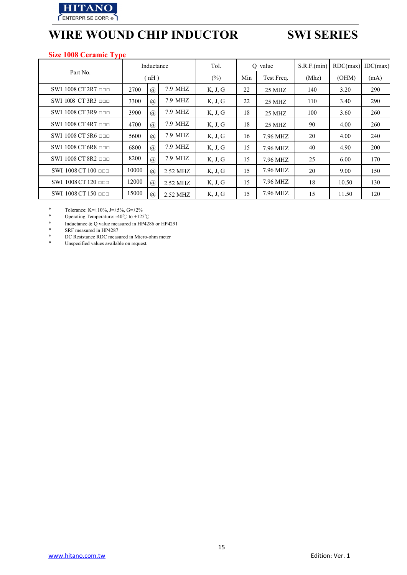

## **Size 1008 Ceramic Type**

|                          |       | Inductance     |          | Tol.    | O value |            | S.R.F.(min) | RDC(max) | IDC(max) |
|--------------------------|-------|----------------|----------|---------|---------|------------|-------------|----------|----------|
| Part No.                 | (nH)  |                |          | $(\%)$  | Min     | Test Freq. | (Mhz)       | (OHM)    | (mA)     |
| SWI $1008$ CT 2R7 $\Box$ | 2700  | $\mathcal{D}$  | 7.9 MHZ  | K, J, G | 22      | 25 MHZ     | 140         | 3.20     | 290      |
| SWI 1008 CT 3R3 $\Box$   | 3300  | $\circleda$    | 7.9 MHZ  | K, J, G | 22      | 25 MHZ     | 110         | 3.40     | 290      |
| SWI $1008$ CT 3R9 $\Box$ | 3900  | $\mathcal{D}$  | 7.9 MHZ  | K, J, G | 18      | 25 MHZ     | 100         | 3.60     | 260      |
| SWI 1008 CT 4R7 ppp      | 4700  | $\mathcal{D}$  | 7.9 MHZ  | K, J, G | 18      | 25 MHZ     | 90          | 4.00     | 260      |
| SWI 1008 CT 5R6 $\Box$   | 5600  | $\mathcal{D}$  | 7.9 MHZ  | K, J, G | 16      | 7.96 MHZ   | 20          | 4.00     | 240      |
| SWI 1008 CT 6R8 $\Box$   | 6800  | $\overline{a}$ | 7.9 MHZ  | K, J, G | 15      | 7.96 MHZ   | 40          | 4.90     | 200      |
| SWI 1008 CT 8R2          | 8200  | $\overline{a}$ | 7.9 MHZ  | K, J, G | 15      | 7.96 MHZ   | 25          | 6.00     | 170      |
| SWI 1008 CT 100 ppp      | 10000 | $\circleda$    | 2.52 MHZ | K, J, G | 15      | 7.96 MHZ   | 20          | 9.00     | 150      |
| SWI 1008 CT 120 nnn      | 12000 | $\circleda$    | 2.52 MHZ | K, J, G | 15      | 7.96 MHZ   | 18          | 10.50    | 130      |
| SWI 1008 CT 150 $\Box$   | 15000 | $\circleda$    | 2.52 MHZ | K, J, G | 15      | 7.96 MHZ   | 15          | 11.50    | 120      |

\* Tolerance: K= $\pm 10\%$ , J= $\pm 5\%$ , G= $\pm 2\%$ <br>\* Operating Temperature:  $\pm 40\degree$  to  $\pm 125$ 

\* Operating Temperature: -40℃ to +125℃

\* Inductance & Q value measured in HP4286 or HP4291<br>
\* SRF measured in HP4287

\* SRF measured in HP4287<br>\* DC Resistance RDC measure

\* DC Resistance RDC measured in Micro-ohm meter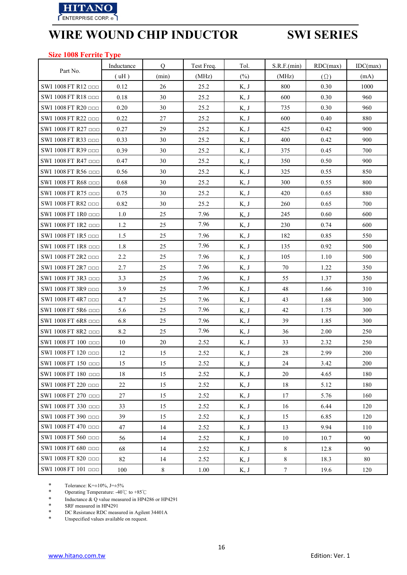

### **Size 1008 Ferrite Type**

|                     | Inductance | Q      | Test Freq. | Tol.    | S.R.F.(min)     | RDC(max)   | IDC(max) |
|---------------------|------------|--------|------------|---------|-----------------|------------|----------|
| Part No.            | (uH)       | (min)  | (MHz)      | $(\% )$ | (MHz)           | $(\Omega)$ | (mA)     |
| SWI 1008 FT R12 000 | 0.12       | 26     | 25.2       | K, J    | 800             | 0.30       | 1000     |
| SWI 1008 FT R18 000 | 0.18       | 30     | 25.2       | K, J    | 600             | 0.30       | 960      |
| SWI 1008 FT R20 ppp | 0.20       | 30     | 25.2       | K, J    | 735             | 0.30       | 960      |
| SWI 1008 FT R22 000 | 0.22       | 27     | 25.2       | K, J    | 600             | 0.40       | 880      |
| SWI 1008 FT R27 000 | 0.27       | 29     | 25.2       | K, J    | 425             | 0.42       | 900      |
| SWI 1008 FT R33 □□□ | 0.33       | 30     | 25.2       | K, J    | 400             | 0.42       | 900      |
| SWI 1008 FT R39 ODD | 0.39       | 30     | 25.2       | K, J    | 375             | 0.45       | 700      |
| SWI 1008 FT R47     | 0.47       | 30     | 25.2       | K, J    | 350             | 0.50       | 900      |
| SWI 1008 FT R56 □□□ | 0.56       | 30     | 25.2       | K, J    | 325             | 0.55       | 850      |
| SWI 1008 FT R68 ODD | 0.68       | 30     | 25.2       | K, J    | 300             | 0.55       | 800      |
| SWI 1008 FT R75 000 | 0.75       | 30     | 25.2       | K, J    | 420             | 0.65       | 880      |
| SWI 1008 FT R82     | 0.82       | 30     | 25.2       | K, J    | 260             | 0.65       | 700      |
| SWI 1008 FT 1R0 000 | 1.0        | 25     | 7.96       | K, J    | 245             | 0.60       | 600      |
| SWI 1008 FT 1R2 000 | 1.2        | 25     | 7.96       | K, J    | 230             | 0.74       | 600      |
| SWI 1008 FT 1R5 000 | 1.5        | 25     | 7.96       | K, J    | 182             | 0.85       | 550      |
| SWI 1008 FT 1R8 000 | 1.8        | 25     | 7.96       | K, J    | 135             | 0.92       | 500      |
| SWI 1008 FT 2R2 000 | 2.2        | 25     | 7.96       | K, J    | 105             | 1.10       | 500      |
| SWI 1008 FT 2R7 000 | 2.7        | 25     | 7.96       | K, J    | 70              | 1.22       | 350      |
| SWI 1008 FT 3R3 □□□ | 3.3        | 25     | 7.96       | K, J    | 55              | 1.37       | 350      |
| SWI 1008 FT 3R9 ppp | 3.9        | 25     | 7.96       | K, J    | 48              | 1.66       | 310      |
| SWI 1008 FT 4R7 000 | 4.7        | 25     | 7.96       | K, J    | 43              | 1.68       | 300      |
| SWI 1008 FT 5R6 000 | 5.6        | 25     | 7.96       | K, J    | 42              | 1.75       | 300      |
| SWI 1008 FT 6R8 ppp | 6.8        | 25     | 7.96       | K, J    | 39              | 1.85       | 300      |
| SWI 1008 FT 8R2 000 | 8.2        | 25     | 7.96       | K, J    | 36              | 2.00       | 250      |
| SWI 1008 FT 100 000 | 10         | $20\,$ | 2.52       | K, J    | 33              | 2.32       | 250      |
| SWI 1008 FT 120 000 | 12         | 15     | 2.52       | K, J    | $28\,$          | 2.99       | 200      |
| SWI 1008 FT 150 □□□ | 15         | 15     | 2.52       | K, J    | 24              | 3.42       | 200      |
| SWI 1008 FT 180 000 | 18         | 15     | 2.52       | K, J    | 20              | 4.65       | 180      |
| SWI 1008 FT 220 000 | 22         | 15     | 2.52       | K, J    | 18              | 5.12       | 180      |
| SWI 1008 FT 270 000 | 27         | 15     | 2.52       | K, J    | 17              | 5.76       | 160      |
| SWI 1008 FT 330 000 | 33         | 15     | 2.52       | K, J    | 16              | 6.44       | 120      |
| SWI 1008 FT 390 000 | 39         | 15     | 2.52       | K, J    | 15              | 6.85       | 120      |
| SWI 1008 FT 470 000 | 47         | 14     | 2.52       | K, J    | 13              | 9.94       | 110      |
| SWI 1008 FT 560 000 | 56         | 14     | 2.52       | K, J    | 10              | 10.7       | 90       |
| SWI 1008 FT 680 ppp | 68         | 14     | 2.52       | K, J    | $8\,$           | 12.8       | 90       |
| SWI 1008 FT 820 000 | 82         | 14     | 2.52       | K, J    | 8               | 18.3       | 80       |
| SWI 1008 FT 101 000 | 100        | 8      | 1.00       | K, J    | $7\overline{ }$ | 19.6       | 120      |

\* Tolerance: K= $\pm 10\%$ , J= $\pm 5\%$ <br>\* Operating Temperature: -40°

\* Operating Temperature: -40℃ to +85℃

\* Inductance & Q value measured in HP4286 or HP4291<br>
\* SRF measured in HP4291<br>
\* DC Resistance RDC measured in Agilent 34401A

SRF measured in HP4291

\* DC Resistance RDC measured in Agilent 34401A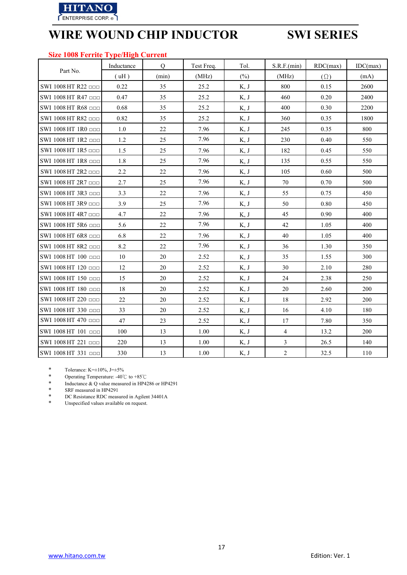

### **Size 1008 Ferrite Type/High Current**

|                            | Inductance      | Q     | Test Freq. | Tol.   | S.R.F.(min)    | RDC(max)   | IDC(max) |
|----------------------------|-----------------|-------|------------|--------|----------------|------------|----------|
| Part No.                   | $(\mathrm{uH})$ | (min) | (MHz)      | $(\%)$ | (MHz)          | $(\Omega)$ | (mA)     |
| SWI 1008 HT R22 000        | 0.22            | 35    | 25.2       | K, J   | 800            | 0.15       | 2600     |
| SWI 1008 HT R47 <b>ODD</b> | 0.47            | 35    | 25.2       | K, J   | 460            | 0.20       | 2400     |
| SWI 1008 HT R68 OOD        | 0.68            | 35    | 25.2       | K, J   | 400            | 0.30       | 2200     |
| SWI 1008 HT R82 000        | 0.82            | 35    | 25.2       | K, J   | 360            | 0.35       | 1800     |
| SWI 1008 HT 1R0 000        | 1.0             | 22    | 7.96       | K, J   | 245            | 0.35       | 800      |
| SWI 1008 HT 1R2 000        | 1.2             | 25    | 7.96       | K, J   | 230            | 0.40       | 550      |
| SWI 1008 HT 1R5 000        | 1.5             | 25    | 7.96       | K, J   | 182            | 0.45       | 550      |
| SWI 1008 HT 1R8 <b>DDD</b> | 1.8             | 25    | 7.96       | K, J   | 135            | 0.55       | 550      |
| SWI 1008 HT 2R2 ODD        | 2.2             | 22    | 7.96       | K, J   | 105            | 0.60       | 500      |
| SWI 1008 HT 2R7 000        | 2.7             | 25    | 7.96       | K, J   | 70             | 0.70       | 500      |
| SWI 1008 HT 3R3 <b>DDD</b> | 3.3             | 22    | 7.96       | K, J   | 55             | 0.75       | 450      |
| SWI 1008 HT 3R9 000        | 3.9             | 25    | 7.96       | K, J   | 50             | 0.80       | 450      |
| SWI 1008 HT 4R7 □□□        | 4.7             | 22    | 7.96       | K, J   | 45             | 0.90       | 400      |
| SWI 1008 HT 5R6 <b>DDD</b> | 5.6             | 22    | 7.96       | K, J   | 42             | 1.05       | 400      |
| SWI 1008 HT 6R8 000        | 6.8             | 22    | 7.96       | K, J   | 40             | 1.05       | 400      |
| SWI 1008 HT 8R2 000        | 8.2             | 22    | 7.96       | K, J   | 36             | 1.30       | 350      |
| SWI 1008 HT 100 000        | 10              | 20    | 2.52       | K, J   | 35             | 1.55       | 300      |
| SWI 1008 HT 120 000        | 12              | 20    | 2.52       | K, J   | 30             | 2.10       | 280      |
| SWI 1008 HT 150 000        | 15              | 20    | 2.52       | K, J   | 24             | 2.38       | 250      |
| SWI 1008 HT 180 000        | 18              | 20    | 2.52       | K, J   | 20             | 2.60       | 200      |
| SWI 1008 HT 220 000        | 22              | 20    | 2.52       | K, J   | 18             | 2.92       | 200      |
| SWI 1008 HT 330 000        | 33              | 20    | 2.52       | K, J   | 16             | 4.10       | 180      |
| SWI 1008 HT 470 000        | 47              | 23    | 2.52       | K, J   | 17             | 7.80       | 350      |
| SWI 1008 HT 101 000        | 100             | 13    | 1.00       | K, J   | $\overline{4}$ | 13.2       | 200      |
| SWI 1008 HT 221 □□□        | 220             | 13    | 1.00       | K, J   | $\overline{3}$ | 26.5       | 140      |
| SWI 1008 HT 331 000        | 330             | 13    | 1.00       | K, J   | $\overline{2}$ | 32.5       | 110      |

\* Tolerance: K= $\pm 10\%$ , J= $\pm 5\%$ <br>\* Operating Temperature: -40°

\* Operating Temperature: -40℃ to +85℃

\* Inductance & Q value measured in HP4286 or HP4291<br>
\* SRF measured in HP4291

\* SRF measured in HP4291

\* DC Resistance RDC measured in Agilent 34401A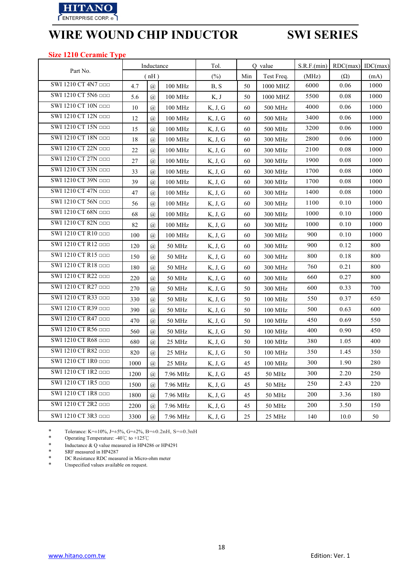

### **Size 1210 Ceramic Type**

|                     |        | Inductance     |                     | Tol.    |     | Q value    | S.R.F.(min) | $RDC(max)$ IDC(max) |      |
|---------------------|--------|----------------|---------------------|---------|-----|------------|-------------|---------------------|------|
| Part No.            |        | (nH)           |                     | $(\%)$  | Min | Test Freq. | (MHz)       | $(\Omega)$          | (mA) |
| SWI 1210 CT 4N7 000 | 4.7    | $\overline{a}$ | 100 MHz             | B, S    | 50  | 1000 MHZ   | 6000        | 0.06                | 1000 |
| SWI 1210 CT 5N6 000 | 5.6    | $\overline{a}$ | 100 MHz             | K, J    | 50  | 1000 MHZ   | 5500        | 0.08                | 1000 |
| SWI 1210 CT 10N ODD | 10     | $\mathcal{a}$  | 100 MHz             | K, J, G | 60  | 500 MHz    | 4000        | 0.06                | 1000 |
| SWI 1210 CT 12N OOD | 12     | $\mathcal{a}$  | 100 MHz             | K, J, G | 60  | 500 MHz    | 3400        | 0.06                | 1000 |
| SWI 1210 CT 15N ODD | 15     | $\overline{a}$ | 100 MHz             | K, J, G | 60  | 500 MHz    | 3200        | 0.06                | 1000 |
| SWI 1210 CT 18N OOD | 18     | $\mathcal{a}$  | 100 MHz             | K, J, G | 60  | 300 MHz    | 2800        | 0.06                | 1000 |
| SWI 1210 CT 22N OOD | $22\,$ | $\overline{a}$ | 100 MHz             | K, J, G | 60  | 300 MHz    | 2100        | 0.08                | 1000 |
| SWI 1210 CT 27N OOD | 27     | $\overline{a}$ | 100 MHz             | K, J, G | 60  | 300 MHz    | 1900        | 0.08                | 1000 |
| SWI 1210 CT 33N □□□ | 33     | $\mathcal{a}$  | 100 MHz             | K, J, G | 60  | 300 MHz    | 1700        | 0.08                | 1000 |
| SWI 1210 CT 39N ODD | 39     | $\overline{a}$ | 100 MHz             | K, J, G | 60  | 300 MHz    | 1700        | 0.08                | 1000 |
| SWI 1210 CT 47N OOD | 47     | $\overline{a}$ | $100\ \mathrm{MHz}$ | K, J, G | 60  | 300 MHz    | 1400        | 0.08                | 1000 |
| SWI 1210 CT 56N OOD | 56     | $\overline{a}$ | 100 MHz             | K, J, G | 60  | 300 MHz    | 1100        | 0.10                | 1000 |
| SWI 1210 CT 68N OOD | 68     | $\mathcal{a}$  | 100 MHz             | K, J, G | 60  | 300 MHz    | 1000        | 0.10                | 1000 |
| SWI 1210 CT 82N OOD | 82     | $\mathcal{a}$  | 100 MHz             | K, J, G | 60  | 300 MHz    | 1000        | 0.10                | 1000 |
| SWI 1210 CT R10 000 | 100    | $\overline{a}$ | 100 MHz             | K, J, G | 60  | 300 MHz    | 900         | 0.10                | 1000 |
| SWI 1210 CT R12 □□□ | 120    | $\overline{a}$ | 50 MHz              | K, J, G | 60  | 300 MHz    | 900         | 0.12                | 800  |
| SWI 1210 CT R15 □□□ | 150    | $\overline{a}$ | 50 MHz              | K, J, G | 60  | 300 MHz    | 800         | 0.18                | 800  |
| SWI 1210 CT R18 □□□ | 180    | $\overline{a}$ | 50 MHz              | K, J, G | 60  | 300 MHz    | 760         | 0.21                | 800  |
| SWI 1210 CT R22 000 | 220    | $\mathcal{a}$  | 50 MHz              | K, J, G | 60  | 300 MHz    | 660         | 0.27                | 800  |
| SWI 1210 CT R27 000 | 270    | $\mathcal{D}$  | 50 MHz              | K, J, G | 50  | 300 MHz    | 600         | 0.33                | 700  |
| SWI 1210 CT R33 □□□ | 330    | $\overline{a}$ | 50 MHz              | K, J, G | 50  | 100 MHz    | 550         | 0.37                | 650  |
| SWI 1210 CT R39 □□□ | 390    | $\overline{a}$ | 50 MHz              | K, J, G | 50  | 100 MHz    | 500         | 0.63                | 600  |
| SWI 1210 CT R47 □□□ | 470    | $\overline{a}$ | 50 MHz              | K, J, G | 50  | 100 MHz    | 450         | 0.69                | 550  |
| SWI 1210 CT R56 □□□ | 560    | $\overline{a}$ | 50 MHz              | K, J, G | 50  | 100 MHz    | 400         | 0.90                | 450  |
| SWI 1210 CT R68 □□□ | 680    | $\overline{a}$ | 25 MHz              | K, J, G | 50  | 100 MHz    | 380         | 1.05                | 400  |
| SWI 1210 CT R82 □□□ | 820    | $\overline{a}$ | 25 MHz              | K, J, G | 50  | 100 MHz    | 350         | 1.45                | 350  |
| SWI 1210 CT 1R0 000 | 1000   | $\overline{a}$ | 25 MHz              | K, J, G | 45  | 100 MHz    | 300         | 1.90                | 280  |
| SWI 1210 CT 1R2 □□□ | 1200   | $\overline{a}$ | 7.96 MHz            | K, J, G | 45  | 50 MHz     | 300         | 2.20                | 250  |
| SWI 1210 CT 1R5 □□□ | 1500   | $\overline{a}$ | 7.96 MHz            | K, J, G | 45  | 50 MHz     | 250         | 2.43                | 220  |
| SWI 1210 CT 1R8 000 | 1800   | $\overline{a}$ | 7.96 MHz            | K, J, G | 45  | 50 MHz     | 200         | 3.36                | 180  |
| SWI 1210 CT 2R2 000 | 2200   | $\mathcal{a}$  | 7.96 MHz            | K, J, G | 45  | 50 MHz     | 200         | 3.50                | 150  |
| SWI 1210 CT 3R3 ppp | 3300   | $\overline{a}$ | 7.96 MHz            | K, J, G | 25  | 25 MHz     | 140         | 10.0                | 50   |

\* Tolerance: K= $\pm 10\%$ , J= $\pm 5\%$ , G= $\pm 2\%$ , B= $\pm 0.2$ nH, S= $\pm 0.3$ nH<br>\* Operating Temperature: -40°C to +125°C

\* Operating Temperature: -40℃ to +125℃

\* Inductance & Q value measured in HP4286 or HP4291<br>
SRF measured in HP4287

\* SRF measured in HP4287<br>\* DC Resistance RDC measure

\* DC Resistance RDC measured in Micro-ohm meter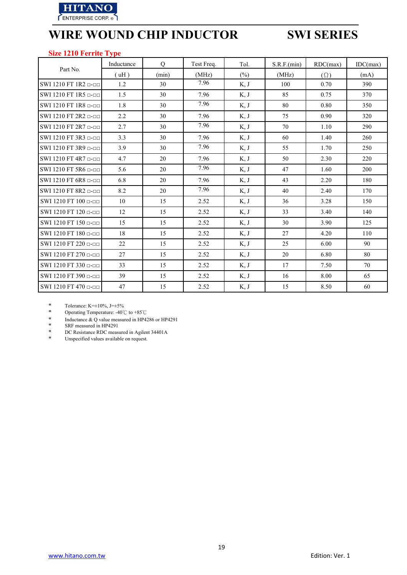

### **Size 1210 Ferrite Type**

|                        | Inductance | $\overline{O}$ | Test Freq. | Tol.    | S.R.F.(min) | RDC(max)   | IDC(max) |
|------------------------|------------|----------------|------------|---------|-------------|------------|----------|
| Part No.               | (uH)       | (min)          | (MHz)      | $(\% )$ | (MHz)       | $(\Omega)$ | (mA)     |
| SWI 1210 FT 1R2 0-00   | 1.2        | 30             | 7.96       | K, J    | 100         | 0.70       | 390      |
| SWI 1210 FT 1R5 p-pp   | 1.5        | 30             | 7.96       | K, J    | 85          | 0.75       | 370      |
| SWI 1210 FT 1R8 p-pp   | 1.8        | 30             | 7.96       | K, J    | 80          | 0.80       | 350      |
| SWI 1210 FT 2R2 p-pp   | 2.2        | 30             | 7.96       | K, J    | 75          | 0.90       | 320      |
| SWI 1210 FT 2R7 $\Box$ | 2.7        | 30             | 7.96       | K, J    | 70          | 1.10       | 290      |
| SWI 1210 FT 3R3 $\Box$ | 3.3        | 30             | 7.96       | K, J    | 60          | 1.40       | 260      |
| SWI 1210 FT 3R9 p-pp   | 3.9        | 30             | 7.96       | K, J    | 55          | 1.70       | 250      |
| SWI 1210 FT 4R7 $n-m$  | 4.7        | 20             | 7.96       | K, J    | 50          | 2.30       | 220      |
| SWI 1210 FT 5R6 p-pp   | 5.6        | 20             | 7.96       | K, J    | 47          | 1.60       | 200      |
| SWI 1210 FT 6R8 p-pp   | 6.8        | 20             | 7.96       | K, J    | 43          | 2.20       | 180      |
| SWI 1210 FT 8R2 $n-m$  | 8.2        | 20             | 7.96       | K, J    | 40          | 2.40       | 170      |
| SWI 1210 FT 100 n-nn   | 10         | 15             | 2.52       | K, J    | 36          | 3.28       | 150      |
| SWI 1210 FT 120 p-pp   | 12         | 15             | 2.52       | K, J    | 33          | 3.40       | 140      |
| SWI 1210 FT 150 p-pp   | 15         | 15             | 2.52       | K, J    | 30          | 3.90       | 125      |
| SWI 1210 FT 180 n-nn   | 18         | 15             | 2.52       | K, J    | 27          | 4.20       | 110      |
| SWI 1210 FT 220 p-pp   | 22         | 15             | 2.52       | K, J    | 25          | 6.00       | 90       |
| SWI 1210 FT 270 p-pp   | 27         | 15             | 2.52       | K, J    | 20          | 6.80       | 80       |
| SWI 1210 FT 330 p-pp   | 33         | 15             | 2.52       | K, J    | 17          | 7.50       | 70       |
| SWI 1210 FT 390 p-pp   | 39         | 15             | 2.52       | K, J    | 16          | 8.00       | 65       |
| SWI 1210 FT 470 p-pp   | 47         | 15             | 2.52       | K, J    | 15          | 8.50       | 60       |

\* Tolerance: K= $\pm 10\%$ , J= $\pm 5\%$ <br>\* Operating Temperature: -40°

\* Operating Temperature: -40℃ to +85℃

\* Inductance & Q value measured in HP4286 or HP4291<br>
\* SRF measured in HP4291

\* SRF measured in HP4291

\* DC Resistance RDC measured in Agilent 34401A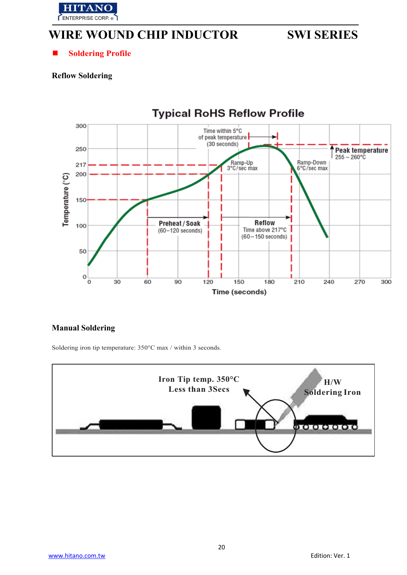

 $\blacksquare$  Soldering Profile

## **Reflow Soldering**



## **Manual Soldering**

Soldering iron tip temperature: 350°C max / within 3 seconds.

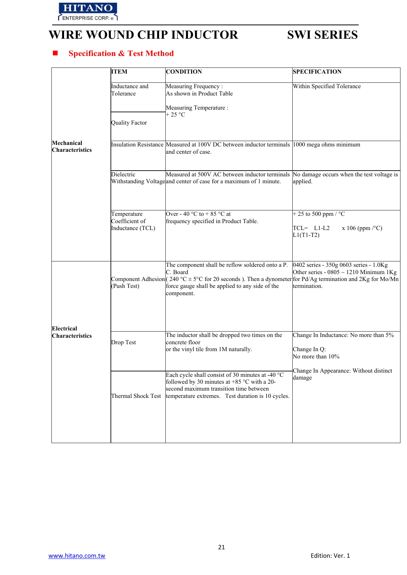

## **Specification & Test Method**

|                                      | <b>ITEM</b>                                          | <b>CONDITION</b>                                                                                                                                                                                                                                | <b>SPECIFICATION</b>                                                                                  |
|--------------------------------------|------------------------------------------------------|-------------------------------------------------------------------------------------------------------------------------------------------------------------------------------------------------------------------------------------------------|-------------------------------------------------------------------------------------------------------|
|                                      | Inductance and<br>Tolerance<br><b>Quality Factor</b> | Measuring Frequency:<br>As shown in Product Table<br>Measuring Temperature :<br>$+25 °C$                                                                                                                                                        | Within Specified Tolerance                                                                            |
| Mechanical<br><b>Characteristics</b> |                                                      | Insulation Resistance Measured at 100V DC between inductor terminals 1000 mega ohms minimum<br>and center of case.                                                                                                                              |                                                                                                       |
|                                      | Dielectric                                           | Measured at 500V AC between inductor terminals<br>Withstanding Voltageand center of case for a maximum of 1 minute.                                                                                                                             | No damage occurs when the test voltage is<br>applied.                                                 |
|                                      | Temperature<br>Coefficient of<br>Inductance (TCL)    | Over - 40 °C to + 85 °C at<br>frequency specified in Product Table.                                                                                                                                                                             | + 25 to 500 ppm / $^{\circ}$ C<br>$TCL = L1-L2$<br>x 106 (ppm $\degree$ C)<br>$L1(T1-T2)$             |
|                                      | (Push Test)                                          | The component shall be reflow soldered onto a P.<br>C. Board<br>Component Adhesion (240 °C $\pm$ 5°C for 20 seconds). Then a dynometer for Pd/Ag termination and 2Kg for Mo/Mn<br>force gauge shall be applied to any side of the<br>component. | 0402 series - 350g 0603 series - 1.0Kg<br>Other series - $0805 \sim 1210$ Minimum 1Kg<br>termination. |
| Electrical<br>Characteristics        | Drop Test                                            | The inductor shall be dropped two times on the<br>concrete floor<br>or the vinyl tile from 1M naturally.                                                                                                                                        | Change In Inductance: No more than 5%<br>Change In Q:<br>No more than 10%                             |
|                                      | Thermal Shock Test                                   | Each cycle shall consist of 30 minutes at -40 °C<br>followed by 30 minutes at +85 $^{\circ}$ C with a 20-<br>second maximum transition time between<br>temperature extremes. Test duration is 10 cycles.                                        | Change In Appearance: Without distinct<br>damage                                                      |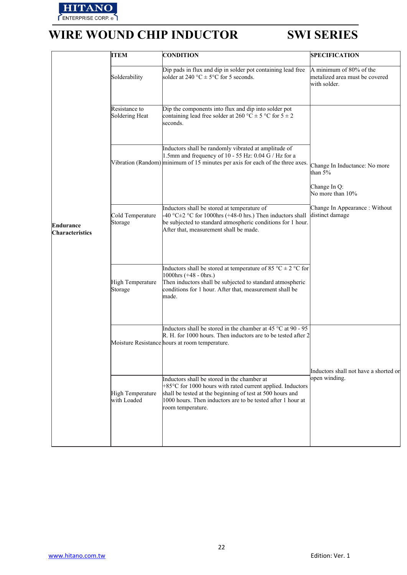

|                                     | <b>ITEM</b>                     | <b>CONDITION</b>                                                                                                                                                                                                                                                     | <b>SPECIFICATION</b>                                                           |
|-------------------------------------|---------------------------------|----------------------------------------------------------------------------------------------------------------------------------------------------------------------------------------------------------------------------------------------------------------------|--------------------------------------------------------------------------------|
|                                     | Solderability                   | Dip pads in flux and dip in solder pot containing lead free<br>solder at 240 °C $\pm$ 5°C for 5 seconds.                                                                                                                                                             | A minimum of 80% of the<br>metalized area must be covered<br>with solder.      |
|                                     | Resistance to<br>Soldering Heat | Dip the components into flux and dip into solder pot<br>containing lead free solder at 260 °C $\pm$ 5 °C for 5 $\pm$ 2<br>seconds.                                                                                                                                   |                                                                                |
|                                     |                                 | Inductors shall be randomly vibrated at amplitude of<br>1.5mm and frequency of 10 - 55 Hz: $0.04$ G / Hz for a<br>Vibration (Random) minimum of 15 minutes per axis for each of the three axes.                                                                      | Change In Inductance: No more<br>than $5%$<br>Change In Q:<br>No more than 10% |
| Endurance<br><b>Characteristics</b> | Cold Temperature<br>Storage     | Inductors shall be stored at temperature of<br>$-40$ °C $\pm$ 2 °C for 1000hrs (+48-0 hrs.) Then inductors shall<br>be subjected to standard atmospheric conditions for 1 hour.<br>After that, measurement shall be made.                                            | Change In Appearance : Without<br>distinct damage                              |
|                                     | High Temperature<br>Storage     | Inductors shall be stored at temperature of 85 °C $\pm$ 2 °C for<br>1000hrs $(+48 - 0)$ hrs.)<br>Then inductors shall be subjected to standard atmospheric<br>conditions for 1 hour. After that, measurement shall be<br>made.                                       |                                                                                |
|                                     |                                 | Inductors shall be stored in the chamber at 45 $^{\circ}$ C at 90 - 95<br>R. H. for 1000 hours. Then inductors are to be tested after 2<br>Moisture Resistance hours at room temperature.                                                                            |                                                                                |
|                                     | High Temperature<br>with Loaded | Inductors shall be stored in the chamber at<br>$+85^{\circ}$ C for 1000 hours with rated current applied. Inductors<br>shall be tested at the beginning of test at 500 hours and<br>1000 hours. Then inductors are to be tested after 1 hour at<br>room temperature. | Inductors shall not have a shorted or<br>open winding.                         |
|                                     |                                 |                                                                                                                                                                                                                                                                      |                                                                                |